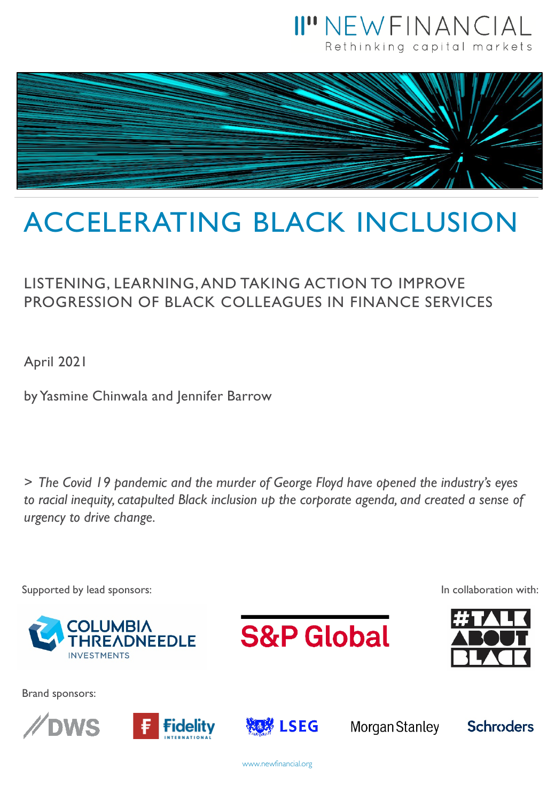



# ACCELERATING BLACK INCLUSION

### LISTENING, LEARNING, AND TAKING ACTION TO IMPROVE PROGRESSION OF BLACK COLLEAGUES IN FINANCE SERVICES

April 2021

by Yasmine Chinwala and Jennifer Barrow

*> The Covid 19 pandemic and the murder of George Floyd have opened the industry's eyes to racial inequity, catapulted Black inclusion up the corporate agenda, and created a sense of urgency to drive change.* 



www.newfinancial.org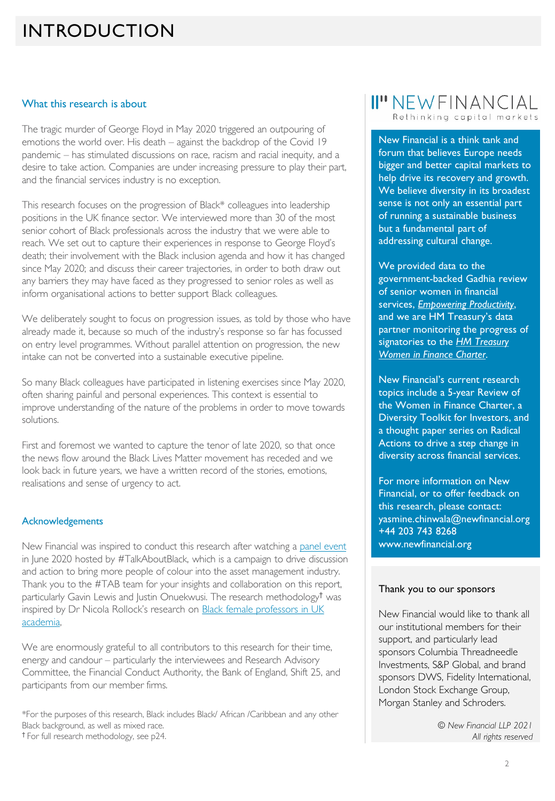### INTRODUCTION

#### What this research is about

The tragic murder of George Floyd in May 2020 triggered an outpouring of emotions the world over. His death – against the backdrop of the Covid 19 pandemic – has stimulated discussions on race, racism and racial inequity, and a desire to take action. Companies are under increasing pressure to play their part, and the financial services industry is no exception.

This research focuses on the progression of Black\* colleagues into leadership positions in the UK finance sector. We interviewed more than 30 of the most senior cohort of Black professionals across the industry that we were able to reach. We set out to capture their experiences in response to George Floyd's death; their involvement with the Black inclusion agenda and how it has changed since May 2020; and discuss their career trajectories, in order to both draw out any barriers they may have faced as they progressed to senior roles as well as inform organisational actions to better support Black colleagues.

We deliberately sought to focus on progression issues, as told by those who have already made it, because so much of the industry's response so far has focussed on entry level programmes. Without parallel attention on progression, the new intake can not be converted into a sustainable executive pipeline.

So many Black colleagues have participated in listening exercises since May 2020, often sharing painful and personal experiences. This context is essential to improve understanding of the nature of the problems in order to move towards solutions.

First and foremost we wanted to capture the tenor of late 2020, so that once the news flow around the Black Lives Matter movement has receded and we look back in future years, we have a written record of the stories, emotions, realisations and sense of urgency to act.

#### Acknowledgements

New Financial was inspired to conduct this research after watching a [panel event](https://www.youtube.com/watch?v=8PeEETg4Axk&t=1s) in June 2020 hosted by #TalkAboutBlack, which is a campaign to drive discussion and action to bring more people of colour into the asset management industry. Thank you to the #TAB team for your insights and collaboration on this report, particularly Gavin Lewis and Justin Onuekwusi. The research methodology† was inspired by Dr Nicola Rollock's [research on Black female professors in UK](https://www.ucu.org.uk/media/10075/Staying-Power/pdf/UCU_Rollock_February_2019.pdf)  academia,

We are enormously grateful to all contributors to this research for their time, energy and candour – particularly the interviewees and Research Advisory Committee, the Financial Conduct Authority, the Bank of England, Shift 25, and participants from our member firms.

\*For the purposes of this research, Black includes Black/ African /Caribbean and any other Black background, as well as mixed race. † For full research methodology, see p24.

#### II" NEW FINANCIAL Rethinking capital markets

New Financial is a think tank and forum that believes Europe needs bigger and better capital markets to help drive its recovery and growth. We believe diversity in its broadest sense is not only an essential part of running a sustainable business but a fundamental part of addressing cultural change.

We provided data to the government-backed Gadhia review of senior women in financial services, *[Empowering Productivity](https://uk.virginmoney.com/virgin/assets/pdf/Virgin-Money-Empowering-Productivity-Report.pdf)*, and we are HM Treasury's data partner monitoring the progress of signatories to the *HM Treasury [Women in Finance Charter](https://www.gov.uk/government/collections/new-financial-analysis-women-in-finance)*.

New Financial's current research topics include a 5-year Review of the Women in Finance Charter, a Diversity Toolkit for Investors, and a thought paper series on Radical Actions to drive a step change in diversity across financial services.

For more information on New Financial, or to offer feedback on this research, please contact: yasmine.chinwala@newfinancial.org +44 203 743 8268 www.newfinancial.org

#### Thank you to our sponsors

New Financial would like to thank all our institutional members for their support, and particularly lead sponsors Columbia Threadneedle Investments, S&P Global, and brand sponsors DWS, Fidelity International, London Stock Exchange Group, Morgan Stanley and Schroders.

> *© New Financial LLP 2021 All rights reserved*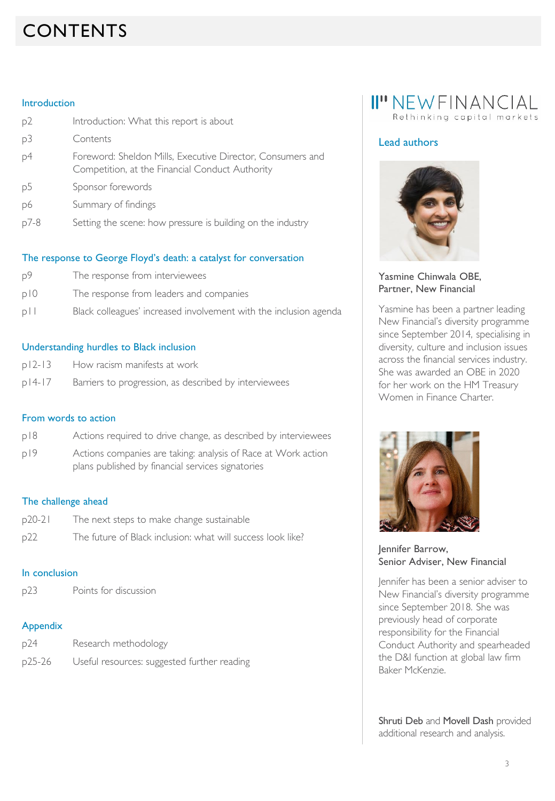## CONTENTS

#### Introduction

| p2             | Introduction: What this report is about                                                                       |
|----------------|---------------------------------------------------------------------------------------------------------------|
| p3             | Contents                                                                                                      |
| p4             | Foreword: Sheldon Mills, Executive Director, Consumers and<br>Competition, at the Financial Conduct Authority |
| p <sub>5</sub> | Sponsor forewords                                                                                             |
| p6             | Summary of findings                                                                                           |
| p7-8           | Setting the scene: how pressure is building on the industry                                                   |

#### The response to George Floyd's death: a catalyst for conversation

- p9 The response from interviewees
- p10 The response from leaders and companies
- p11 Black colleagues' increased involvement with the inclusion agenda

#### Understanding hurdles to Black inclusion

- p12-13 How racism manifests at work
- p14-17 Barriers to progression, as described by interviewees

#### From words to action

- p18 Actions required to drive change, as described by interviewees
- p19 Actions companies are taking: analysis of Race at Work action plans published by financial services signatories

#### The challenge ahead

p20-21 The next steps to make change sustainable p22 The future of Black inclusion: what will success look like?

#### In conclusion

p23 Points for discussion

#### Appendix

| p24    | Research methodology                        |
|--------|---------------------------------------------|
| p25-26 | Useful resources: suggested further reading |

### II" NEW FINANCIAL Rethinking capital markets

#### Lead authors



#### Yasmine Chinwala OBE, Partner, New Financial

Yasmine has been a partner leading New Financial's diversity programme since September 2014, specialising in diversity, culture and inclusion issues across the financial services industry. She was awarded an OBE in 2020 for her work on the HM Treasury Women in Finance Charter.



Jennifer Barrow, Senior Adviser, New Financial

Jennifer has been a senior adviser to New Financial's diversity programme since September 2018. She was previously head of corporate responsibility for the Financial Conduct Authority and spearheaded the D&I function at global law firm Baker McKenzie.

Shruti Deb and Movell Dash provided additional research and analysis.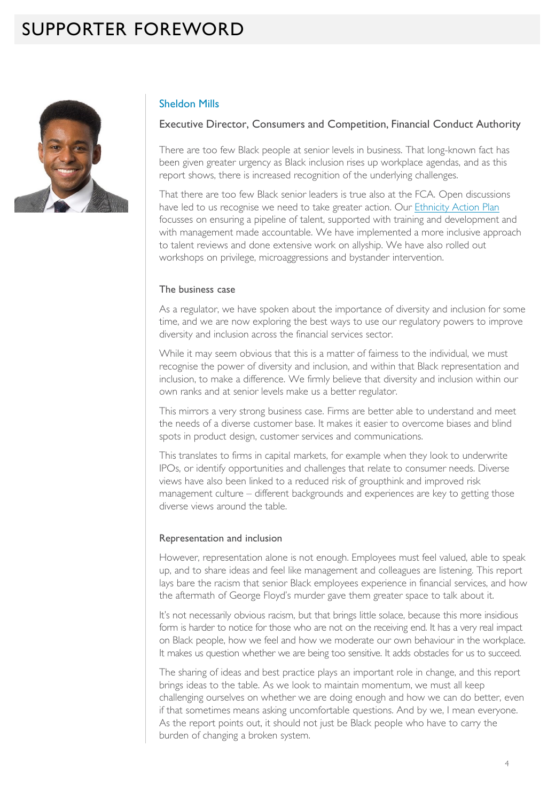### SUPPORTER FOREWORD



#### Sheldon Mills

#### Executive Director, Consumers and Competition, Financial Conduct Authority

There are too few Black people at senior levels in business. That long-known fact has been given greater urgency as Black inclusion rises up workplace agendas, and as this report shows, there is increased recognition of the underlying challenges.

That there are too few Black senior leaders is true also at the FCA. Open discussions have led to us recognise we need to take greater action. Our [Ethnicity Action Plan](https://www.fca.org.uk/about/diversity-and-inclusion-why-it-matters-us/our-ethnicity-action-plan) focusses on ensuring a pipeline of talent, supported with training and development and with management made accountable. We have implemented a more inclusive approach to talent reviews and done extensive work on allyship. We have also rolled out workshops on privilege, microaggressions and bystander intervention.

#### The business case

As a regulator, we have spoken about the importance of diversity and inclusion for some time, and we are now exploring the best ways to use our regulatory powers to improve diversity and inclusion across the financial services sector.

While it may seem obvious that this is a matter of fairness to the individual, we must recognise the power of diversity and inclusion, and within that Black representation and inclusion, to make a difference. We firmly believe that diversity and inclusion within our own ranks and at senior levels make us a better regulator.

This mirrors a very strong business case. Firms are better able to understand and meet the needs of a diverse customer base. It makes it easier to overcome biases and blind spots in product design, customer services and communications.

This translates to firms in capital markets, for example when they look to underwrite IPOs, or identify opportunities and challenges that relate to consumer needs. Diverse views have also been linked to a reduced risk of groupthink and improved risk management culture – different backgrounds and experiences are key to getting those diverse views around the table.

#### Representation and inclusion

However, representation alone is not enough. Employees must feel valued, able to speak up, and to share ideas and feel like management and colleagues are listening. This report lays bare the racism that senior Black employees experience in financial services, and how the aftermath of George Floyd's murder gave them greater space to talk about it.

It's not necessarily obvious racism, but that brings little solace, because this more insidious form is harder to notice for those who are not on the receiving end. It has a very real impact on Black people, how we feel and how we moderate our own behaviour in the workplace. It makes us question whether we are being too sensitive. It adds obstacles for us to succeed.

The sharing of ideas and best practice plays an important role in change, and this report brings ideas to the table. As we look to maintain momentum, we must all keep challenging ourselves on whether we are doing enough and how we can do better, even if that sometimes means asking uncomfortable questions. And by we, I mean everyone. As the report points out, it should not just be Black people who have to carry the burden of changing a broken system.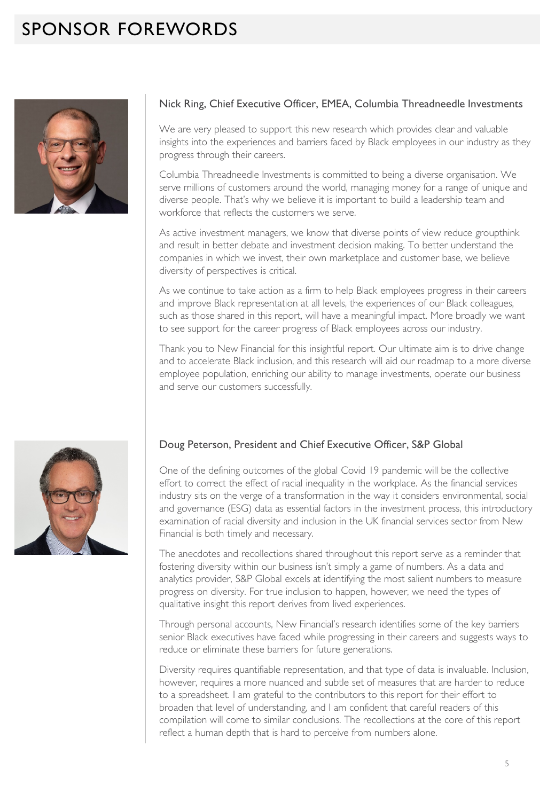### SPONSOR FOREWORDS



#### Nick Ring, Chief Executive Officer, EMEA, Columbia Threadneedle Investments

We are very pleased to support this new research which provides clear and valuable insights into the experiences and barriers faced by Black employees in our industry as they progress through their careers.

Columbia Threadneedle Investments is committed to being a diverse organisation. We serve millions of customers around the world, managing money for a range of unique and diverse people. That's why we believe it is important to build a leadership team and workforce that reflects the customers we serve.

As active investment managers, we know that diverse points of view reduce groupthink and result in better debate and investment decision making. To better understand the companies in which we invest, their own marketplace and customer base, we believe diversity of perspectives is critical.

As we continue to take action as a firm to help Black employees progress in their careers and improve Black representation at all levels, the experiences of our Black colleagues, such as those shared in this report, will have a meaningful impact. More broadly we want to see support for the career progress of Black employees across our industry.

Thank you to New Financial for this insightful report. Our ultimate aim is to drive change and to accelerate Black inclusion, and this research will aid our roadmap to a more diverse employee population, enriching our ability to manage investments, operate our business and serve our customers successfully.

#### Doug Peterson, President and Chief Executive Officer, S&P Global

One of the defining outcomes of the global Covid 19 pandemic will be the collective effort to correct the effect of racial inequality in the workplace. As the financial services industry sits on the verge of a transformation in the way it considers environmental, social and governance (ESG) data as essential factors in the investment process, this introductory examination of racial diversity and inclusion in the UK financial services sector from New Financial is both timely and necessary.

The anecdotes and recollections shared throughout this report serve as a reminder that fostering diversity within our business isn't simply a game of numbers. As a data and analytics provider, S&P Global excels at identifying the most salient numbers to measure progress on diversity. For true inclusion to happen, however, we need the types of qualitative insight this report derives from lived experiences.

Through personal accounts, New Financial's research identifies some of the key barriers senior Black executives have faced while progressing in their careers and suggests ways to reduce or eliminate these barriers for future generations.

Diversity requires quantifiable representation, and that type of data is invaluable. Inclusion, however, requires a more nuanced and subtle set of measures that are harder to reduce to a spreadsheet. I am grateful to the contributors to this report for their effort to broaden that level of understanding, and I am confident that careful readers of this compilation will come to similar conclusions. The recollections at the core of this report reflect a human depth that is hard to perceive from numbers alone.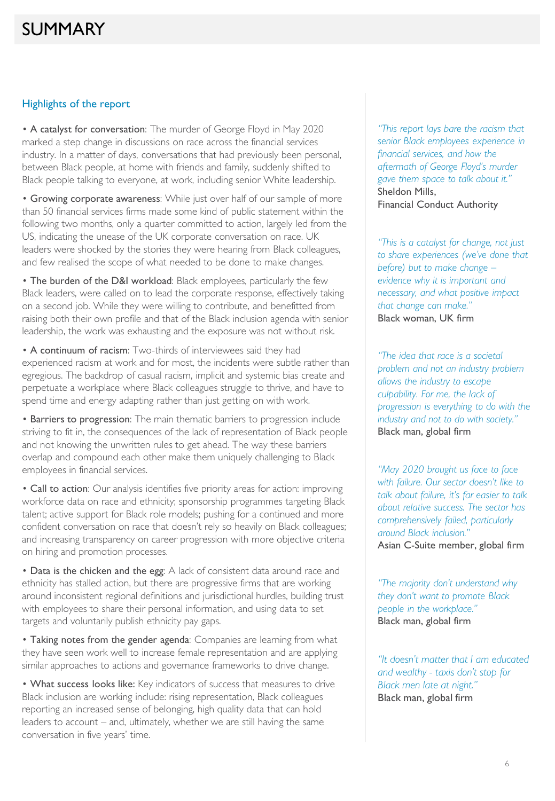#### Highlights of the report

• A catalyst for conversation: The murder of George Floyd in May 2020 marked a step change in discussions on race across the financial services industry. In a matter of days, conversations that had previously been personal, between Black people, at home with friends and family, suddenly shifted to Black people talking to everyone, at work, including senior White leadership.

• Growing corporate awareness: While just over half of our sample of more than 50 financial services firms made some kind of public statement within the following two months, only a quarter committed to action, largely led from the US, indicating the unease of the UK corporate conversation on race. UK leaders were shocked by the stories they were hearing from Black colleagues, and few realised the scope of what needed to be done to make changes.

• The burden of the D&I workload: Black employees, particularly the few Black leaders, were called on to lead the corporate response, effectively taking on a second job. While they were willing to contribute, and benefitted from raising both their own profile and that of the Black inclusion agenda with senior leadership, the work was exhausting and the exposure was not without risk.

• A continuum of racism: Two-thirds of interviewees said they had experienced racism at work and for most, the incidents were subtle rather than egregious. The backdrop of casual racism, implicit and systemic bias create and perpetuate a workplace where Black colleagues struggle to thrive, and have to spend time and energy adapting rather than just getting on with work.

• Barriers to progression: The main thematic barriers to progression include striving to fit in, the consequences of the lack of representation of Black people and not knowing the unwritten rules to get ahead. The way these barriers overlap and compound each other make them uniquely challenging to Black employees in financial services.

• Call to action: Our analysis identifies five priority areas for action: improving workforce data on race and ethnicity; sponsorship programmes targeting Black talent; active support for Black role models; pushing for a continued and more confident conversation on race that doesn't rely so heavily on Black colleagues; and increasing transparency on career progression with more objective criteria on hiring and promotion processes.

• Data is the chicken and the egg: A lack of consistent data around race and ethnicity has stalled action, but there are progressive firms that are working around inconsistent regional definitions and jurisdictional hurdles, building trust with employees to share their personal information, and using data to set targets and voluntarily publish ethnicity pay gaps.

• Taking notes from the gender agenda: Companies are learning from what they have seen work well to increase female representation and are applying similar approaches to actions and governance frameworks to drive change.

• What success looks like: Key indicators of success that measures to drive Black inclusion are working include: rising representation, Black colleagues reporting an increased sense of belonging, high quality data that can hold leaders to account – and, ultimately, whether we are still having the same conversation in five years' time.

*"This report lays bare the racism that senior Black employees experience in financial services, and how the aftermath of George Floyd's murder gave them space to talk about it."* Sheldon Mills, Financial Conduct Authority

*"This is a catalyst for change, not just to share experiences (we've done that before) but to make change – evidence why it is important and necessary, and what positive impact that change can make."* Black woman, UK firm

*"The idea that race is a societal problem and not an industry problem allows the industry to escape culpability. For me, the lack of progression is everything to do with the industry and not to do with society."* Black man, global firm

*"May 2020 brought us face to face with failure. Our sector doesn't like to talk about failure, it's far easier to talk about relative success. The sector has comprehensively failed, particularly around Black inclusion."* Asian C-Suite member, global firm

*"The majority don't understand why they don't want to promote Black people in the workplace."* Black man, global firm

*"It doesn't matter that I am educated and wealthy - taxis don't stop for Black men late at night."*  Black man, global firm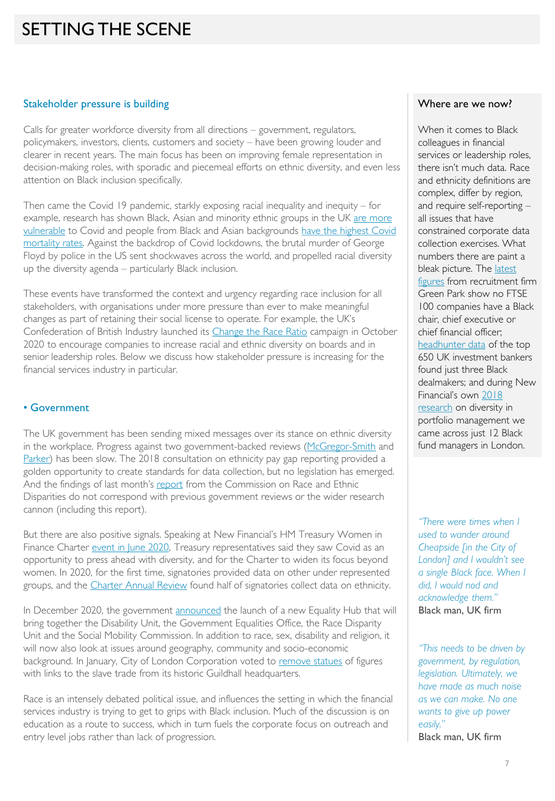### SETTING THE SCENE

#### Stakeholder pressure is building

Calls for greater workforce diversity from all directions – government, regulators, policymakers, investors, clients, customers and society – have been growing louder and clearer in recent years. The main focus has been on improving female representation in decision-making roles, with sporadic and piecemeal efforts on ethnic diversity, and even less attention on Black inclusion specifically.

Then came the Covid 19 pandemic, starkly exposing racial inequality and inequity – for example, research has shown Black, Asian and minority ethnic groups in the UK are more vulnerable [to Covid and people from Black and Asian backgrounds have the highest Covid](https://www.ifs.org.uk/inequality/chapter/are-some-ethnic-groups-more-vulnerable-to-COVID-19-than-others/) [mortality rates. Against the backdrop of Covid lockdowns, the brutal murder of George](https://assets.publishing.service.gov.uk/government/uploads/system/uploads/attachment_data/file/908434/Disparities_in_the_risk_and_outcomes_of_COVID_August_2020_update.pdf)  Floyd by police in the US sent shockwaves across the world, and propelled racial diversity up the diversity agenda – particularly Black inclusion.

These events have transformed the context and urgency regarding race inclusion for all stakeholders, with organisations under more pressure than ever to make meaningful changes as part of retaining their social license to operate. For example, the UK's Confederation of British Industry launched its [Change the Race Ratio](https://changetheraceratio.com/) campaign in October 2020 to encourage companies to increase racial and ethnic diversity on boards and in senior leadership roles. Below we discuss how stakeholder pressure is increasing for the financial services industry in particular.

#### • Government

The UK government has been sending mixed messages over its stance on ethnic diversity in the workplace. Progress against two government-backed reviews ([McGregor-Smith](https://assets.publishing.service.gov.uk/government/uploads/system/uploads/attachment_data/file/594336/race-in-workplace-mcgregor-smith-review.pdf) and [Parker\)](https://assets.ey.com/content/dam/ey-sites/ey-com/en_uk/news/2020/02/ey-parker-review-2020-report-final.pdf) has been slow. The 2018 consultation on ethnicity pay gap reporting provided a golden opportunity to create standards for data collection, but no legislation has emerged. And the findings of last month's [report](https://assets.publishing.service.gov.uk/government/uploads/system/uploads/attachment_data/file/974507/20210331_-_CRED_Report_-_FINAL_-_Web_Accessible.pdf) from the Commission on Race and Ethnic Disparities do not correspond with previous government reviews or the wider research cannon (including this report).

But there are also positive signals. Speaking at New Financial's HM Treasury Women in Finance Charter [event in June 2020](https://newfinancial.org/wp-content/uploads/2020/07/Discussion_summary_Women_in_Finance_Charter_Event_June2020.pdf), Treasury representatives said they saw Covid as an opportunity to press ahead with diversity, and for the Charter to widen its focus beyond women. In 2020, for the first time, signatories provided data on other under represented groups, and the [Charter Annual Review](https://assets.publishing.service.gov.uk/government/uploads/system/uploads/attachment_data/file/969905/HM_TREASURY_WOMEN_IN_FINANCE_ANNUAL_REVIEW_2020.pdf) found half of signatories collect data on ethnicity.

In December 2020, the government [announced](https://www.gov.uk/government/news/fight-for-fairness-speech-to-set-out-governments-new-approach-to-equality) the launch of a new Equality Hub that will bring together the Disability Unit, the Government Equalities Office, the Race Disparity Unit and the Social Mobility Commission. In addition to race, sex, disability and religion, it will now also look at issues around geography, community and socio-economic background. In January, City of London Corporation voted to [remove statues](https://news.cityoflondon.gov.uk/slavery-statues-in-city-of-london-to-be-removed/) of figures with links to the slave trade from its historic Guildhall headquarters.

Race is an intensely debated political issue, and influences the setting in which the financial services industry is trying to get to grips with Black inclusion. Much of the discussion is on education as a route to success, which in turn fuels the corporate focus on outreach and entry level jobs rather than lack of progression.

#### Where are we now?

When it comes to Black colleagues in financial services or leadership roles, there isn't much data. Race and ethnicity definitions are complex, differ by region, and require self-reporting – all issues that have constrained corporate data collection exercises. What numbers there are paint a [bleak picture. The latest](https://www.green-park.co.uk/insights/green-park-business-leaders-index-britain-s-top-firms-failing-black-leaders/s228945/)  figures from recruitment firm Green Park show no FTSE 100 companies have a Black chair, chief executive or chief financial officer; [headhunter](https://www.fnlondon.com/articles/revealed-the-stark-lack-of-senior-black-dealmakers-in-the-city-20200720) data of the top 650 UK investment bankers found just three Black dealmakers; and during New Financial's own 2018 research [on diversity](https://newfinancial.org/wp-content/uploads/2018/09/2018.09-Diversity-in-Portfolio-Management-report-New-Financial.pdf) in portfolio management we came across just 12 Black fund managers in London.

*"There were times when I used to wander around Cheapside [in the City of London] and I wouldn't see a single Black face. When I did, I would nod and acknowledge them."* Black man, UK firm

*"This needs to be driven by government, by regulation, legislation. Ultimately, we have made as much noise as we can make. No one wants to give up power easily."* Black man, UK firm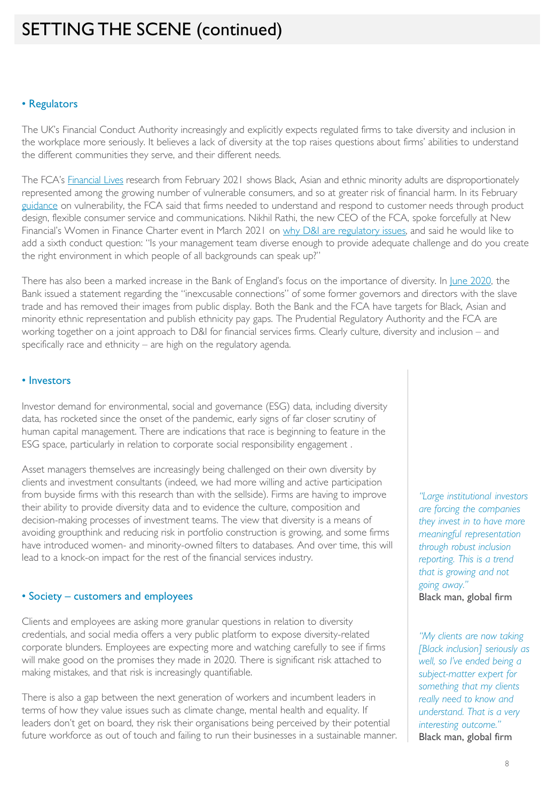### SETTING THE SCENE (continued)

#### • Regulators

The UK's Financial Conduct Authority increasingly and explicitly expects regulated firms to take diversity and inclusion in the workplace more seriously. It believes a lack of diversity at the top raises questions about firms' abilities to understand the different communities they serve, and their different needs.

The FCA's [Financial Lives](https://www.fca.org.uk/publications/research/financial-lives-2020-survey-impact-coronavirus) research from February 2021 shows Black, Asian and ethnic minority adults are disproportionately represented among the growing number of vulnerable consumers, and so at greater risk of financial harm. In its February [guidance](https://www.fca.org.uk/publication/finalised-guidance/fg21-1.pdf) on vulnerability, the FCA said that firms needed to understand and respond to customer needs through product design, flexible consumer service and communications. Nikhil Rathi, the new CEO of the FCA, spoke forcefully at New Financial's Women in Finance Charter event in March 2021 on [why D&I are regulatory issues,](https://www.fca.org.uk/news/speeches/why-diversity-and-inclusion-are-regulatory-issues) and said he would like to add a sixth conduct question: "Is your management team diverse enough to provide adequate challenge and do you create the right environment in which people of all backgrounds can speak up?"

There has also been a marked increase in the Bank of England's focus on the importance of diversity. In [June 2020](https://www.bankofengland.co.uk/news/2020/june/statement-in-relation-to-the-banks-historical-links-to-the-slave-trade), the Bank issued a statement regarding the "inexcusable connections" of some former governors and directors with the slave trade and has removed their images from public display. Both the Bank and the FCA have targets for Black, Asian and minority ethnic representation and publish ethnicity pay gaps. The Prudential Regulatory Authority and the FCA are working together on a joint approach to D&I for financial services firms. Clearly culture, diversity and inclusion – and specifically race and ethnicity – are high on the regulatory agenda.

#### • Investors

Investor demand for environmental, social and governance (ESG) data, including diversity data, has rocketed since the onset of the pandemic, early signs of far closer scrutiny of human capital management. There are indications that race is beginning to feature in the ESG space, particularly in relation to corporate social responsibility engagement .

Asset managers themselves are increasingly being challenged on their own diversity by clients and investment consultants (indeed, we had more willing and active participation from buyside firms with this research than with the sellside). Firms are having to improve their ability to provide diversity data and to evidence the culture, composition and decision-making processes of investment teams. The view that diversity is a means of avoiding groupthink and reducing risk in portfolio construction is growing, and some firms have introduced women- and minority-owned filters to databases. And over time, this will lead to a knock-on impact for the rest of the financial services industry.

#### • Society – customers and employees

Clients and employees are asking more granular questions in relation to diversity credentials, and social media offers a very public platform to expose diversity-related corporate blunders. Employees are expecting more and watching carefully to see if firms will make good on the promises they made in 2020. There is significant risk attached to making mistakes, and that risk is increasingly quantifiable.

There is also a gap between the next generation of workers and incumbent leaders in terms of how they value issues such as climate change, mental health and equality. If leaders don't get on board, they risk their organisations being perceived by their potential future workforce as out of touch and failing to run their businesses in a sustainable manner.

*"Large institutional investors are forcing the companies they invest in to have more meaningful representation through robust inclusion reporting. This is a trend that is growing and not going away."*  Black man, global firm

*"My clients are now taking [Black inclusion] seriously as well, so I've ended being a subject-matter expert for something that my clients really need to know and understand. That is a very interesting outcome."* Black man, global firm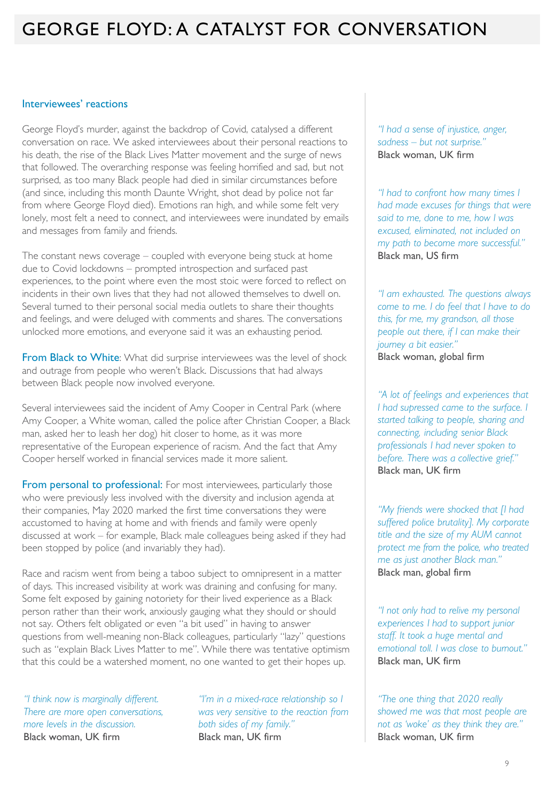### GEORGE FLOYD: A CATALYST FOR CONVERSATION

#### Interviewees' reactions

George Floyd's murder, against the backdrop of Covid, catalysed a different conversation on race. We asked interviewees about their personal reactions to his death, the rise of the Black Lives Matter movement and the surge of news that followed. The overarching response was feeling horrified and sad, but not surprised, as too many Black people had died in similar circumstances before (and since, including this month Daunte Wright, shot dead by police not far from where George Floyd died). Emotions ran high, and while some felt very lonely, most felt a need to connect, and interviewees were inundated by emails and messages from family and friends.

The constant news coverage – coupled with everyone being stuck at home due to Covid lockdowns – prompted introspection and surfaced past experiences, to the point where even the most stoic were forced to reflect on incidents in their own lives that they had not allowed themselves to dwell on. Several turned to their personal social media outlets to share their thoughts and feelings, and were deluged with comments and shares. The conversations unlocked more emotions, and everyone said it was an exhausting period.

From Black to White: What did surprise interviewees was the level of shock and outrage from people who weren't Black. Discussions that had always between Black people now involved everyone.

Several interviewees said the incident of Amy Cooper in Central Park (where Amy Cooper, a White woman, called the police after Christian Cooper, a Black man, asked her to leash her dog) hit closer to home, as it was more representative of the European experience of racism. And the fact that Amy Cooper herself worked in financial services made it more salient.

From personal to professional: For most interviewees, particularly those who were previously less involved with the diversity and inclusion agenda at their companies, May 2020 marked the first time conversations they were accustomed to having at home and with friends and family were openly discussed at work – for example, Black male colleagues being asked if they had been stopped by police (and invariably they had).

Race and racism went from being a taboo subject to omnipresent in a matter of days. This increased visibility at work was draining and confusing for many. Some felt exposed by gaining notoriety for their lived experience as a Black person rather than their work, anxiously gauging what they should or should not say. Others felt obligated or even "a bit used" in having to answer questions from well-meaning non-Black colleagues, particularly "lazy" questions such as "explain Black Lives Matter to me". While there was tentative optimism that this could be a watershed moment, no one wanted to get their hopes up.

*"I think now is marginally different. There are more open conversations, more levels in the discussion.*  Black woman, UK firm

*"I'm in a mixed-race relationship so I was very sensitive to the reaction from both sides of my family."* Black man, UK firm

*"I had a sense of injustice, anger, sadness – but not surprise."* Black woman, UK firm

*"I had to confront how many times I had made excuses for things that were said to me, done to me, how I was excused, eliminated, not included on my path to become more successful."* Black man, US firm

*"I am exhausted. The questions always come to me. I do feel that I have to do this, for me, my grandson, all those people out there, if I can make their journey a bit easier."* Black woman, global firm

*"A lot of feelings and experiences that I had supressed came to the surface. I started talking to people, sharing and connecting, including senior Black professionals I had never spoken to before. There was a collective grief."* Black man, UK firm

*"My friends were shocked that [I had suffered police brutality]. My corporate title and the size of my AUM cannot protect me from the police, who treated me as just another Black man."*  Black man, global firm

*"I not only had to relive my personal experiences I had to support junior staff. It took a huge mental and emotional toll. I was close to burnout."* Black man, UK firm

*"The one thing that 2020 really showed me was that most people are not as 'woke' as they think they are."* Black woman, UK firm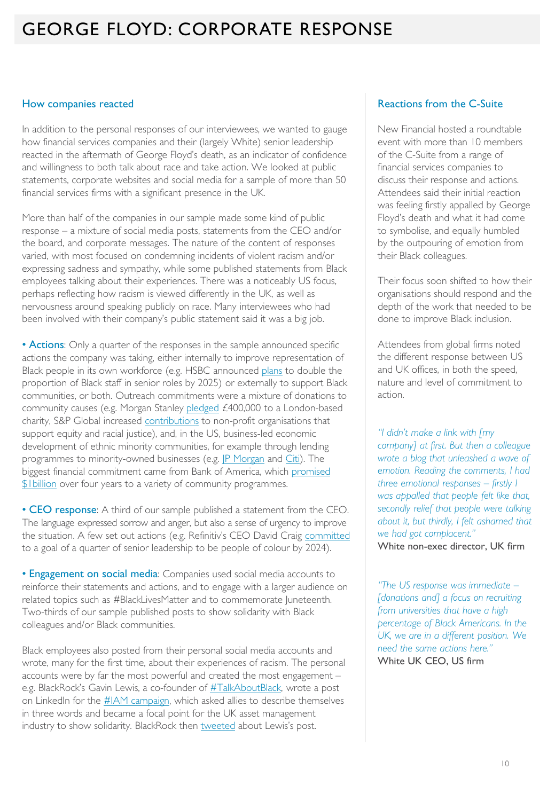### GEORGE FLOYD: CORPORATE RESPONSE

#### How companies reacted

In addition to the personal responses of our interviewees, we wanted to gauge how financial services companies and their (largely White) senior leadership reacted in the aftermath of George Floyd's death, as an indicator of confidence and willingness to both talk about race and take action. We looked at public statements, corporate websites and social media for a sample of more than 50 financial services firms with a significant presence in the UK.

More than half of the companies in our sample made some kind of public response – a mixture of social media posts, statements from the CEO and/or the board, and corporate messages. The nature of the content of responses varied, with most focused on condemning incidents of violent racism and/or expressing sadness and sympathy, while some published statements from Black employees talking about their experiences. There was a noticeably US focus, perhaps reflecting how racism is viewed differently in the UK, as well as nervousness around speaking publicly on race. Many interviewees who had been involved with their company's public statement said it was a big job.

• Actions: Only a quarter of the responses in the sample announced specific actions the company was taking, either internally to improve representation of Black people in its own workforce (e.g. HSBC announced [plans](https://www.hsbc.com/news-and-media/hsbc-news/hsbc-sets-out-race-commitments) to double the proportion of Black staff in senior roles by 2025) or externally to support Black communities, or both. Outreach commitments were a mixture of donations to community causes (e.g. Morgan Stanley [pledged](https://londoncf.org.uk/blog/grant-morgan-stanley-to-support-coronavirus-relief-effort) £400,000 to a London-based charity, S&P Global increased [contributions](https://www.spglobal.com/en/foundation) to non-profit organisations that support equity and racial justice), and, in the US, business-led economic development of ethnic minority communities, for example through lending programmes to minority-owned businesses (e.g. [JP Morgan](https://www.jpmorganchase.com/impact/real-change-right-now) and [Citi\)](https://www.citigroup.com/citi/news/2020/200923a.htm). The [biggest financial commitment came from Bank of America, which promised](https://newsroom.bankofamerica.com/press-releases/bank-america-announces-four-year-1-billion-commitment-supporting-economic)  **\$1billion** over four years to a variety of community programmes.

• CEO response: A third of our sample published a statement from the CEO. The language expressed sorrow and anger, but also a sense of urgency to improve the situation. A few set out actions (e.g. Refinitiv's CEO David Craig [committed](https://www.linkedin.com/pulse/were-creating-more-racially-balanced-refinitiv-david-craig/) to a goal of a quarter of senior leadership to be people of colour by 2024).

• Engagement on social media: Companies used social media accounts to reinforce their statements and actions, and to engage with a larger audience on related topics such as #BlackLivesMatter and to commemorate Juneteenth. Two-thirds of our sample published posts to show solidarity with Black colleagues and/or Black communities.

Black employees also posted from their personal social media accounts and wrote, many for the first time, about their experiences of racism. The personal accounts were by far the most powerful and created the most engagement – e.g. BlackRock's Gavin Lewis, a co-founder of [#TalkAboutBlack,](https://diversityproject.com/resource/talkaboutblack-overview) wrote a post on LinkedIn for the [#IAM campaign,](https://www.linkedin.com/posts/gavin-lewis-19b0664_iam-talkaboutblack-diversityproject-activity-6673887222934065152-KHKy) which asked allies to describe themselves in three words and became a focal point for the UK asset management industry to show solidarity. BlackRock then [tweeted](https://twitter.com/BlackRock_UK/status/1268128795531325441) about Lewis's post.

#### Reactions from the C-Suite

New Financial hosted a roundtable event with more than 10 members of the C-Suite from a range of financial services companies to discuss their response and actions. Attendees said their initial reaction was feeling firstly appalled by George Floyd's death and what it had come to symbolise, and equally humbled by the outpouring of emotion from their Black colleagues.

Their focus soon shifted to how their organisations should respond and the depth of the work that needed to be done to improve Black inclusion.

Attendees from global firms noted the different response between US and UK offices, in both the speed, nature and level of commitment to action.

*"I didn't make a link with [my company] at first. But then a colleague wrote a blog that unleashed a wave of emotion. Reading the comments, I had three emotional responses – firstly I was appalled that people felt like that, secondly relief that people were talking about it, but thirdly, I felt ashamed that we had got complacent."* White non-exec director, UK firm

*"The US response was immediate – [donations and] a focus on recruiting from universities that have a high percentage of Black Americans. In the UK, we are in a different position. We need the same actions here."* White UK CEO, US firm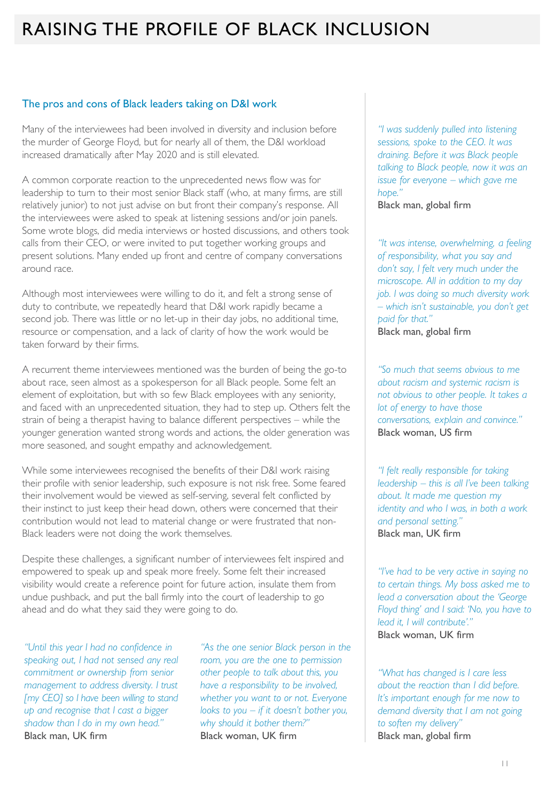### RAISING THE PROFILE OF BLACK INCLUSION

#### The pros and cons of Black leaders taking on D&I work

Many of the interviewees had been involved in diversity and inclusion before the murder of George Floyd, but for nearly all of them, the D&I workload increased dramatically after May 2020 and is still elevated.

A common corporate reaction to the unprecedented news flow was for leadership to turn to their most senior Black staff (who, at many firms, are still relatively junior) to not just advise on but front their company's response. All the interviewees were asked to speak at listening sessions and/or join panels. Some wrote blogs, did media interviews or hosted discussions, and others took calls from their CEO, or were invited to put together working groups and present solutions. Many ended up front and centre of company conversations around race.

Although most interviewees were willing to do it, and felt a strong sense of duty to contribute, we repeatedly heard that D&I work rapidly became a second job. There was little or no let-up in their day jobs, no additional time, resource or compensation, and a lack of clarity of how the work would be taken forward by their firms.

A recurrent theme interviewees mentioned was the burden of being the go-to about race, seen almost as a spokesperson for all Black people. Some felt an element of exploitation, but with so few Black employees with any seniority, and faced with an unprecedented situation, they had to step up. Others felt the strain of being a therapist having to balance different perspectives – while the younger generation wanted strong words and actions, the older generation was more seasoned, and sought empathy and acknowledgement.

While some interviewees recognised the benefits of their D&I work raising their profile with senior leadership, such exposure is not risk free. Some feared their involvement would be viewed as self-serving, several felt conflicted by their instinct to just keep their head down, others were concerned that their contribution would not lead to material change or were frustrated that non-Black leaders were not doing the work themselves.

Despite these challenges, a significant number of interviewees felt inspired and empowered to speak up and speak more freely. Some felt their increased visibility would create a reference point for future action, insulate them from undue pushback, and put the ball firmly into the court of leadership to go ahead and do what they said they were going to do.

*"Until this year I had no confidence in speaking out, I had not sensed any real commitment or ownership from senior management to address diversity. I trust [my CEO] so I have been willing to stand up and recognise that I cast a bigger shadow than I do in my own head."* Black man, UK firm

*"As the one senior Black person in the room, you are the one to permission other people to talk about this, you have a responsibility to be involved, whether you want to or not. Everyone looks to you – if it doesn't bother you, why should it bother them?"* Black woman, UK firm

*"I was suddenly pulled into listening sessions, spoke to the CEO. It was draining. Before it was Black people talking to Black people, now it was an issue for everyone – which gave me hope."*

Black man, global firm

*"It was intense, overwhelming, a feeling of responsibility, what you say and don't say, I felt very much under the microscope. All in addition to my day job. I was doing so much diversity work – which isn't sustainable, you don't get paid for that."* Black man, global firm

*"So much that seems obvious to me about racism and systemic racism is not obvious to other people. It takes a lot of energy to have those conversations, explain and convince."* Black woman, US firm

*"I felt really responsible for taking leadership – this is all I've been talking about. It made me question my identity and who I was, in both a work and personal setting."* Black man, UK firm

*"I've had to be very active in saying no to certain things. My boss asked me to lead a conversation about the 'George Floyd thing' and I said: 'No, you have to lead it, I will contribute'."* Black woman, UK firm

*"What has changed is I care less about the reaction than I did before. It's important enough for me now to demand diversity that I am not going to soften my delivery"* Black man, global firm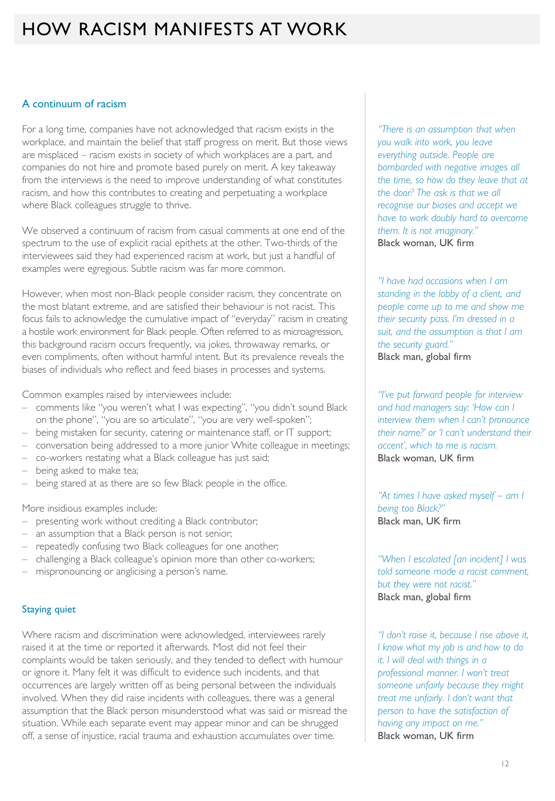### HOW RACISM MANIFESTS AT WORK

#### A continuum of racism

For a long time, companies have not acknowledged that racism exists in the workplace, and maintain the belief that staff progress on merit. But those views are misplaced – racism exists in society of which workplaces are a part, and companies do not hire and promote based purely on merit. A key takeaway from the interviews is the need to improve understanding of what constitutes racism, and how this contributes to creating and perpetuating a workplace where Black colleagues struggle to thrive.

We observed a continuum of racism from casual comments at one end of the spectrum to the use of explicit racial epithets at the other. Two-thirds of the interviewees said they had experienced racism at work, but just a handful of examples were egregious. Subtle racism was far more common.

However, when most non-Black people consider racism, they concentrate on the most blatant extreme, and are satisfied their behaviour is not racist. This focus fails to acknowledge the cumulative impact of "everyday" racism in creating a hostile work environment for Black people. Often referred to as microagression, this background racism occurs frequently, via jokes, throwaway remarks, or even compliments, often without harmful intent. But its prevalence reveals the biases of individuals who reflect and feed biases in processes and systems.

Common examples raised by interviewees include:

- comments like "you weren't what I was expecting", "you didn't sound Black on the phone", "you are so articulate", "you are very well-spoken";
- being mistaken for security, catering or maintenance staff, or IT support;
- conversation being addressed to a more junior White colleague in meetings;
- co-workers restating what a Black colleague has just said;
- being asked to make tea;
- being stared at as there are so few Black people in the office.

More insidious examples include:

- presenting work without crediting a Black contributor;
- an assumption that a Black person is not senior;
- repeatedly confusing two Black colleagues for one another;
- challenging a Black colleague's opinion more than other co-workers;
- mispronouncing or anglicising a person's name.

#### Staying quiet

Where racism and discrimination were acknowledged, interviewees rarely raised it at the time or reported it afterwards. Most did not feel their complaints would be taken seriously, and they tended to deflect with humour or ignore it. Many felt it was difficult to evidence such incidents, and that occurrences are largely written off as being personal between the individuals involved. When they did raise incidents with colleagues, there was a general assumption that the Black person misunderstood what was said or misread the situation. While each separate event may appear minor and can be shrugged off, a sense of injustice, racial trauma and exhaustion accumulates over time.

*"There is an assumption that when you walk into work, you leave everything outside. People are bombarded with negative images all the time, so how do they leave that at the door? The ask is that we all recognise our biases and accept we have to work doubly hard to overcome them. It is not imaginary."*  Black woman, UK firm

*"I have had occasions when I am standing in the lobby of a client, and people come up to me and show me their security pass. I'm dressed in a suit, and the assumption is that I am the security guard."* Black man, global firm

*"I've put forward people for interview and had managers say: 'How can I interview them when I can't pronounce their name?' or 'I can't understand their accent', which to me is racism.*  Black woman, UK firm

*"At times I have asked myself – am I being too Black?"* Black man, UK firm

*"When I escalated [an incident] I was told someone made a racist comment, but they were not racist."* Black man, global firm

*"I don't raise it, because I rise above it, I know what my job is and how to do it. I will deal with things in a professional manner. I won't treat someone unfairly because they might treat me unfairly. I don't want that person to have the satisfaction of having any impact on me."* Black woman, UK firm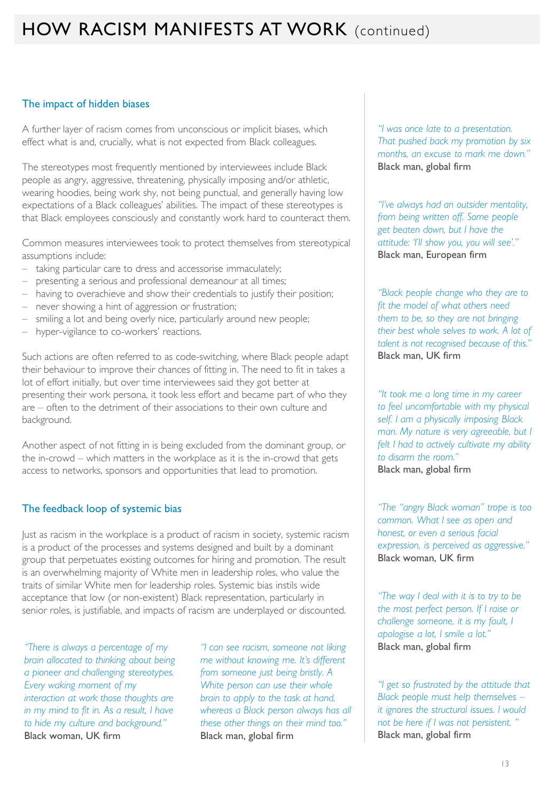#### The impact of hidden biases

A further layer of racism comes from unconscious or implicit biases, which effect what is and, crucially, what is not expected from Black colleagues.

The stereotypes most frequently mentioned by interviewees include Black people as angry, aggressive, threatening, physically imposing and/or athletic, wearing hoodies, being work shy, not being punctual, and generally having low expectations of a Black colleagues' abilities. The impact of these stereotypes is that Black employees consciously and constantly work hard to counteract them.

Common measures interviewees took to protect themselves from stereotypical assumptions include:

- taking particular care to dress and accessorise immaculately;
- presenting a serious and professional demeanour at all times;
- having to overachieve and show their credentials to justify their position;
- never showing a hint of aggression or frustration;
- smiling a lot and being overly nice, particularly around new people;
- hyper-vigilance to co-workers' reactions.

Such actions are often referred to as code-switching, where Black people adapt their behaviour to improve their chances of fitting in. The need to fit in takes a lot of effort initially, but over time interviewees said they got better at presenting their work persona, it took less effort and became part of who they are – often to the detriment of their associations to their own culture and background.

Another aspect of not fitting in is being excluded from the dominant group, or the in-crowd – which matters in the workplace as it is the in-crowd that gets access to networks, sponsors and opportunities that lead to promotion.

#### The feedback loop of systemic bias

Just as racism in the workplace is a product of racism in society, systemic racism is a product of the processes and systems designed and built by a dominant group that perpetuates existing outcomes for hiring and promotion. The result is an overwhelming majority of White men in leadership roles, who value the traits of similar White men for leadership roles. Systemic bias instils wide acceptance that low (or non-existent) Black representation, particularly in senior roles, is justifiable, and impacts of racism are underplayed or discounted.

*"There is always a percentage of my brain allocated to thinking about being a pioneer and challenging stereotypes. Every waking moment of my interaction at work those thoughts are in my mind to fit in. As a result, I have to hide my culture and background."* Black woman, UK firm

*"I can see racism, someone not liking me without knowing me. It's different from someone just being bristly. A White person can use their whole brain to apply to the task at hand, whereas a Black person always has all these other things on their mind too."* Black man, global firm

*"I was once late to a presentation. That pushed back my promotion by six months, an excuse to mark me down."* Black man, global firm

*"I've always had an outsider mentality, from being written off. Some people get beaten down, but I have the attitude: 'I'll show you, you will see'."* Black man, European firm

*"Black people change who they are to fit the model of what others need them to be, so they are not bringing their best whole selves to work. A lot of talent is not recognised because of this."* Black man, UK firm

*"It took me a long time in my career to feel uncomfortable with my physical self. I am a physically imposing Black man. My nature is very agreeable, but I felt I had to actively cultivate my ability to disarm the room."* Black man, global firm

*"The "angry Black woman" trope is too common. What I see as open and honest, or even a serious facial expression, is perceived as aggressive."* Black woman, UK firm

*"The way I deal with it is to try to be the most perfect person. If I raise or challenge someone, it is my fault, I apologise a lot, I smile a lot."* Black man, global firm

*"I get so frustrated by the attitude that Black people must help themselves – it ignores the structural issues. I would not be here if I was not persistent. "* Black man, global firm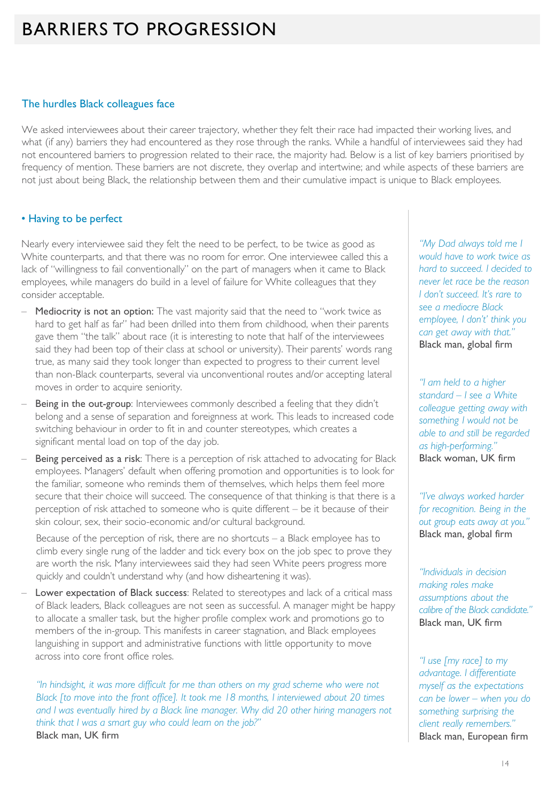### BARRIERS TO PROGRESSION

#### The hurdles Black colleagues face

We asked interviewees about their career trajectory, whether they felt their race had impacted their working lives, and what (if any) barriers they had encountered as they rose through the ranks. While a handful of interviewees said they had not encountered barriers to progression related to their race, the majority had. Below is a list of key barriers prioritised by frequency of mention. These barriers are not discrete, they overlap and intertwine; and while aspects of these barriers are not just about being Black, the relationship between them and their cumulative impact is unique to Black employees.

#### • Having to be perfect

Nearly every interviewee said they felt the need to be perfect, to be twice as good as White counterparts, and that there was no room for error. One interviewee called this a lack of "willingness to fail conventionally" on the part of managers when it came to Black employees, while managers do build in a level of failure for White colleagues that they consider acceptable.

- Mediocrity is not an option: The vast majority said that the need to "work twice as hard to get half as far" had been drilled into them from childhood, when their parents gave them "the talk" about race (it is interesting to note that half of the interviewees said they had been top of their class at school or university). Their parents' words rang true, as many said they took longer than expected to progress to their current level than non-Black counterparts, several via unconventional routes and/or accepting lateral moves in order to acquire seniority.
- Being in the out-group: Interviewees commonly described a feeling that they didn't belong and a sense of separation and foreignness at work. This leads to increased code switching behaviour in order to fit in and counter stereotypes, which creates a significant mental load on top of the day job.
- Being perceived as a risk: There is a perception of risk attached to advocating for Black employees. Managers' default when offering promotion and opportunities is to look for the familiar, someone who reminds them of themselves, which helps them feel more secure that their choice will succeed. The consequence of that thinking is that there is a perception of risk attached to someone who is quite different – be it because of their skin colour, sex, their socio-economic and/or cultural background.

Because of the perception of risk, there are no shortcuts – a Black employee has to climb every single rung of the ladder and tick every box on the job spec to prove they are worth the risk. Many interviewees said they had seen White peers progress more quickly and couldn't understand why (and how disheartening it was).

Lower expectation of Black success: Related to stereotypes and lack of a critical mass of Black leaders, Black colleagues are not seen as successful. A manager might be happy to allocate a smaller task, but the higher profile complex work and promotions go to members of the in-group. This manifests in career stagnation, and Black employees languishing in support and administrative functions with little opportunity to move across into core front office roles.

*"In hindsight, it was more difficult for me than others on my grad scheme who were not Black [to move into the front office]. It took me 18 months, I interviewed about 20 times and I was eventually hired by a Black line manager. Why did 20 other hiring managers not think that I was a smart guy who could learn on the job?"* Black man, UK firm

*"My Dad always told me I would have to work twice as hard to succeed. I decided to never let race be the reason I don't succeed. It's rare to see a mediocre Black employee, I don't' think you can get away with that."* Black man, global firm

*"I am held to a higher standard – I see a White colleague getting away with something I would not be able to and still be regarded as high-performing."* Black woman, UK firm

*"I've always worked harder for recognition. Being in the out group eats away at you."* Black man, global firm

*"Individuals in decision making roles make assumptions about the calibre of the Black candidate."* Black man, UK firm

*"I use [my race] to my advantage. I differentiate myself as the expectations can be lower – when you do something surprising the client really remembers."* Black man, European firm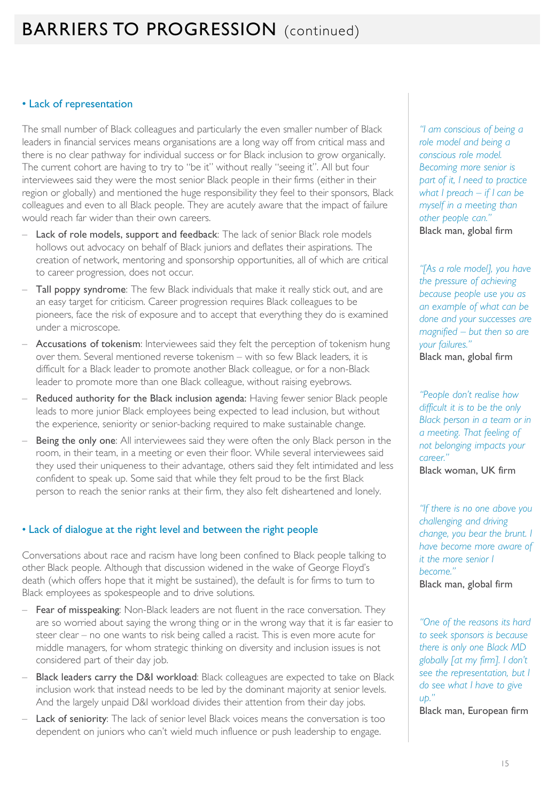## **BARRIERS TO PROGRESSION** (continued)

#### • Lack of representation

The small number of Black colleagues and particularly the even smaller number of Black leaders in financial services means organisations are a long way off from critical mass and there is no clear pathway for individual success or for Black inclusion to grow organically. The current cohort are having to try to "be it" without really "seeing it". All but four interviewees said they were the most senior Black people in their firms (either in their region or globally) and mentioned the huge responsibility they feel to their sponsors, Black colleagues and even to all Black people. They are acutely aware that the impact of failure would reach far wider than their own careers.

- Lack of role models, support and feedback: The lack of senior Black role models hollows out advocacy on behalf of Black juniors and deflates their aspirations. The creation of network, mentoring and sponsorship opportunities, all of which are critical to career progression, does not occur.
- Tall poppy syndrome: The few Black individuals that make it really stick out, and are an easy target for criticism. Career progression requires Black colleagues to be pioneers, face the risk of exposure and to accept that everything they do is examined under a microscope.
- Accusations of tokenism: Interviewees said they felt the perception of tokenism hung over them. Several mentioned reverse tokenism – with so few Black leaders, it is difficult for a Black leader to promote another Black colleague, or for a non-Black leader to promote more than one Black colleague, without raising eyebrows.
- Reduced authority for the Black inclusion agenda: Having fewer senior Black people leads to more junior Black employees being expected to lead inclusion, but without the experience, seniority or senior-backing required to make sustainable change.
- Being the only one: All interviewees said they were often the only Black person in the room, in their team, in a meeting or even their floor. While several interviewees said they used their uniqueness to their advantage, others said they felt intimidated and less confident to speak up. Some said that while they felt proud to be the first Black person to reach the senior ranks at their firm, they also felt disheartened and lonely.

#### • Lack of dialogue at the right level and between the right people

Conversations about race and racism have long been confined to Black people talking to other Black people. Although that discussion widened in the wake of George Floyd's death (which offers hope that it might be sustained), the default is for firms to turn to Black employees as spokespeople and to drive solutions.

- Fear of misspeaking: Non-Black leaders are not fluent in the race conversation. They are so worried about saying the wrong thing or in the wrong way that it is far easier to steer clear – no one wants to risk being called a racist. This is even more acute for middle managers, for whom strategic thinking on diversity and inclusion issues is not considered part of their day job.
- Black leaders carry the D&I workload: Black colleagues are expected to take on Black inclusion work that instead needs to be led by the dominant majority at senior levels. And the largely unpaid D&I workload divides their attention from their day jobs.
- Lack of seniority: The lack of senior level Black voices means the conversation is too dependent on juniors who can't wield much influence or push leadership to engage.

*"I am conscious of being a role model and being a conscious role model. Becoming more senior is part of it, I need to practice what I preach – if I can be myself in a meeting than other people can."* Black man, global firm

*"[As a role model], you have the pressure of achieving because people use you as an example of what can be done and your successes are magnified – but then so are your failures."* Black man, global firm

*"People don't realise how difficult it is to be the only Black person in a team or in a meeting. That feeling of not belonging impacts your career."* Black woman, UK firm

*"If there is no one above you challenging and driving change, you bear the brunt. I have become more aware of it the more senior I become."* Black man, global firm

*"One of the reasons its hard to seek sponsors is because there is only one Black MD globally [at my firm]. I don't see the representation, but I do see what I have to give up."*

Black man, European firm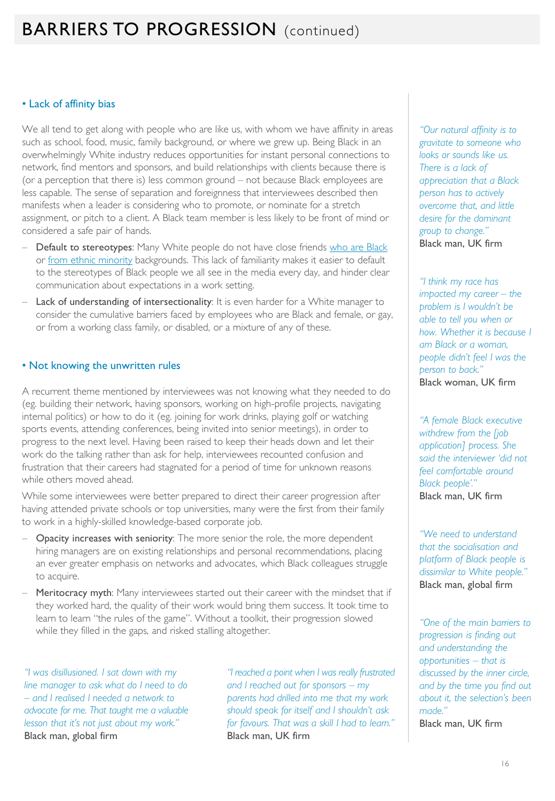### **BARRIERS TO PROGRESSION** (continued)

#### • Lack of affinity bias

We all tend to get along with people who are like us, with whom we have affinity in areas such as school, food, music, family background, or where we grew up. Being Black in an overwhelmingly White industry reduces opportunities for instant personal connections to network, find mentors and sponsors, and build relationships with clients because there is (or a perception that there is) less common ground – not because Black employees are less capable. The sense of separation and foreignness that interviewees described then manifests when a leader is considering who to promote, or nominate for a stretch assignment, or pitch to a client. A Black team member is less likely to be front of mind or considered a safe pair of hands.

- **Default to stereotypes:** Many White people do not have close friends [who are Black](https://www.jstor.org/stable/community.28328056?seq=5#metadata_info_tab_contents) or [from ethnic minority](https://yougov.co.uk/topics/politics/articles-reports/2018/05/03/one-third-white-britons-dont-have-any-friends-ethn) backgrounds. This lack of familiarity makes it easier to default to the stereotypes of Black people we all see in the media every day, and hinder clear communication about expectations in a work setting.
- Lack of understanding of intersectionality: It is even harder for a White manager to consider the cumulative barriers faced by employees who are Black and female, or gay, or from a working class family, or disabled, or a mixture of any of these.

#### • Not knowing the unwritten rules

A recurrent theme mentioned by interviewees was not knowing what they needed to do (eg. building their network, having sponsors, working on high-profile projects, navigating internal politics) or how to do it (eg. joining for work drinks, playing golf or watching sports events, attending conferences, being invited into senior meetings), in order to progress to the next level. Having been raised to keep their heads down and let their work do the talking rather than ask for help, interviewees recounted confusion and frustration that their careers had stagnated for a period of time for unknown reasons while others moved ahead.

While some interviewees were better prepared to direct their career progression after having attended private schools or top universities, many were the first from their family to work in a highly-skilled knowledge-based corporate job.

- Opacity increases with seniority: The more senior the role, the more dependent hiring managers are on existing relationships and personal recommendations, placing an ever greater emphasis on networks and advocates, which Black colleagues struggle to acquire.
- Meritocracy myth: Many interviewees started out their career with the mindset that if they worked hard, the quality of their work would bring them success. It took time to learn to learn "the rules of the game". Without a toolkit, their progression slowed while they filled in the gaps, and risked stalling altogether.

*"I was disillusioned. I sat down with my line manager to ask what do I need to do – and I realised I needed a network to advocate for me. That taught me a valuable lesson that it's not just about my work."* Black man, global firm

*"I reached a point when I was really frustrated and I reached out for sponsors – my parents had drilled into me that my work should speak for itself and I shouldn't ask for favours. That was a skill I had to learn."* Black man, UK firm

*"Our natural affinity is to gravitate to someone who looks or sounds like us. There is a lack of appreciation that a Black person has to actively overcome that, and little desire for the dominant group to change."* Black man, UK firm

*"I think my race has impacted my career – the problem is I wouldn't be able to tell you when or how. Whether it is because I am Black or a woman, people didn't feel I was the person to back."* Black woman, UK firm

*"A female Black executive withdrew from the [job application] process. She said the interviewer 'did not feel comfortable around Black people'."* Black man, UK firm

*"We need to understand that the socialisation and platform of Black people is dissimilar to White people."* Black man, global firm

*"One of the main barriers to progression is finding out and understanding the opportunities – that is discussed by the inner circle, and by the time you find out about it, the selection's been made."*

Black man, UK firm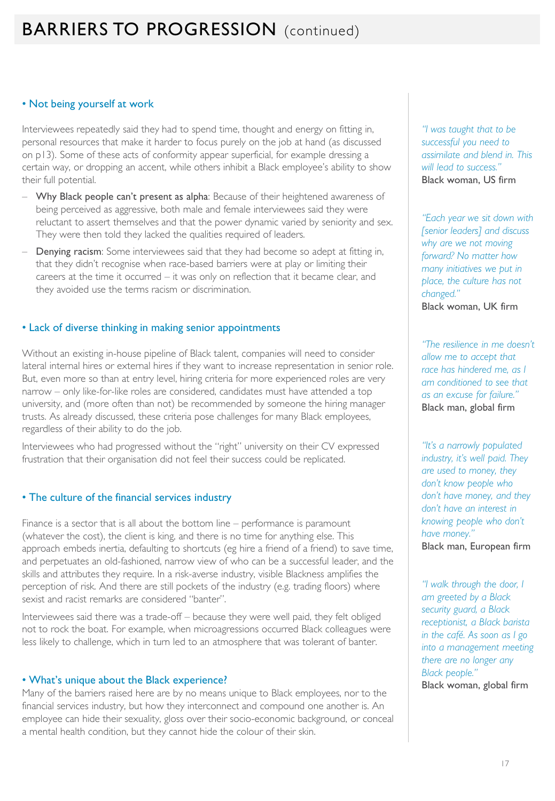## **BARRIERS TO PROGRESSION** (continued)

#### • Not being yourself at work

Interviewees repeatedly said they had to spend time, thought and energy on fitting in, personal resources that make it harder to focus purely on the job at hand (as discussed on p13). Some of these acts of conformity appear superficial, for example dressing a certain way, or dropping an accent, while others inhibit a Black employee's ability to show their full potential.

- Why Black people can't present as alpha: Because of their heightened awareness of being perceived as aggressive, both male and female interviewees said they were reluctant to assert themselves and that the power dynamic varied by seniority and sex. They were then told they lacked the qualities required of leaders.
- Denying racism: Some interviewees said that they had become so adept at fitting in, that they didn't recognise when race-based barriers were at play or limiting their careers at the time it occurred – it was only on reflection that it became clear, and they avoided use the terms racism or discrimination.

#### • Lack of diverse thinking in making senior appointments

Without an existing in-house pipeline of Black talent, companies will need to consider lateral internal hires or external hires if they want to increase representation in senior role. But, even more so than at entry level, hiring criteria for more experienced roles are very narrow – only like-for-like roles are considered, candidates must have attended a top university, and (more often than not) be recommended by someone the hiring manager trusts. As already discussed, these criteria pose challenges for many Black employees, regardless of their ability to do the job.

Interviewees who had progressed without the "right" university on their CV expressed frustration that their organisation did not feel their success could be replicated.

#### • The culture of the financial services industry

Finance is a sector that is all about the bottom line – performance is paramount (whatever the cost), the client is king, and there is no time for anything else. This approach embeds inertia, defaulting to shortcuts (eg hire a friend of a friend) to save time, and perpetuates an old-fashioned, narrow view of who can be a successful leader, and the skills and attributes they require. In a risk-averse industry, visible Blackness amplifies the perception of risk. And there are still pockets of the industry (e.g. trading floors) where sexist and racist remarks are considered "banter".

Interviewees said there was a trade-off – because they were well paid, they felt obliged not to rock the boat. For example, when microagressions occurred Black colleagues were less likely to challenge, which in turn led to an atmosphere that was tolerant of banter.

#### • What's unique about the Black experience?

Many of the barriers raised here are by no means unique to Black employees, nor to the financial services industry, but how they interconnect and compound one another is. An employee can hide their sexuality, gloss over their socio-economic background, or conceal a mental health condition, but they cannot hide the colour of their skin.

*"I was taught that to be successful you need to assimilate and blend in. This will lead to success."* Black woman, US firm

*"Each year we sit down with [senior leaders] and discuss why are we not moving forward? No matter how many initiatives we put in place, the culture has not changed."* Black woman, UK firm

*"The resilience in me doesn't allow me to accept that race has hindered me, as I am conditioned to see that as an excuse for failure."* Black man, global firm

*"It's a narrowly populated industry, it's well paid. They are used to money, they don't know people who don't have money, and they don't have an interest in knowing people who don't have money."* Black man, European firm

*"I walk through the door, I am greeted by a Black security guard, a Black receptionist, a Black barista in the café. As soon as I go into a management meeting there are no longer any Black people."* Black woman, global firm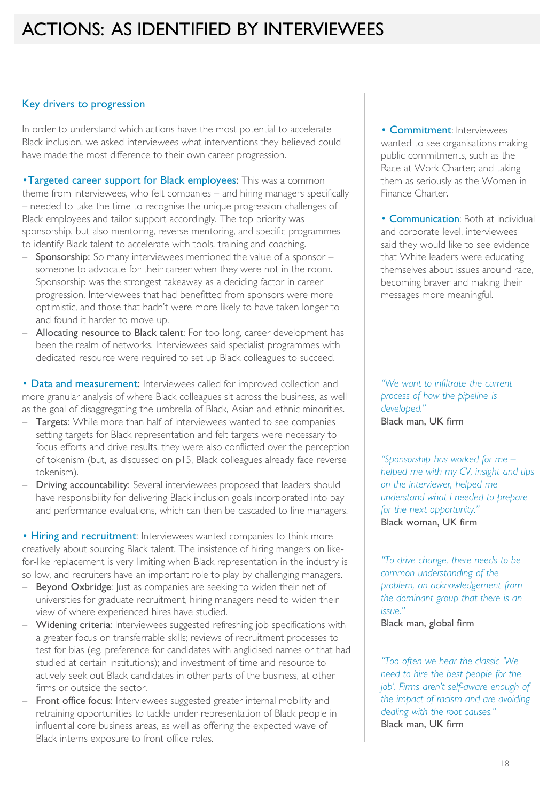#### Key drivers to progression

In order to understand which actions have the most potential to accelerate Black inclusion, we asked interviewees what interventions they believed could have made the most difference to their own career progression.

•Targeted career support for Black employees: This was a common theme from interviewees, who felt companies – and hiring managers specifically – needed to take the time to recognise the unique progression challenges of Black employees and tailor support accordingly. The top priority was sponsorship, but also mentoring, reverse mentoring, and specific programmes to identify Black talent to accelerate with tools, training and coaching.

- Sponsorship: So many interviewees mentioned the value of a sponsor someone to advocate for their career when they were not in the room. Sponsorship was the strongest takeaway as a deciding factor in career progression. Interviewees that had benefitted from sponsors were more optimistic, and those that hadn't were more likely to have taken longer to and found it harder to move up.
- Allocating resource to Black talent: For too long, career development has been the realm of networks. Interviewees said specialist programmes with dedicated resource were required to set up Black colleagues to succeed.

• Data and measurement: Interviewees called for improved collection and more granular analysis of where Black colleagues sit across the business, as well as the goal of disaggregating the umbrella of Black, Asian and ethnic minorities.

- Targets: While more than half of interviewees wanted to see companies setting targets for Black representation and felt targets were necessary to focus efforts and drive results, they were also conflicted over the perception of tokenism (but, as discussed on p15, Black colleagues already face reverse tokenism).
- Driving accountability: Several interviewees proposed that leaders should have responsibility for delivering Black inclusion goals incorporated into pay and performance evaluations, which can then be cascaded to line managers.

• Hiring and recruitment: Interviewees wanted companies to think more creatively about sourcing Black talent. The insistence of hiring mangers on likefor-like replacement is very limiting when Black representation in the industry is so low, and recruiters have an important role to play by challenging managers.

- Beyond Oxbridge: Just as companies are seeking to widen their net of universities for graduate recruitment, hiring managers need to widen their view of where experienced hires have studied.
- Widening criteria: Interviewees suggested refreshing job specifications with a greater focus on transferrable skills; reviews of recruitment processes to test for bias (eg. preference for candidates with anglicised names or that had studied at certain institutions); and investment of time and resource to actively seek out Black candidates in other parts of the business, at other firms or outside the sector.
- Front office focus: Interviewees suggested greater internal mobility and retraining opportunities to tackle under-representation of Black people in influential core business areas, as well as offering the expected wave of Black interns exposure to front office roles.

• Commitment: Interviewees wanted to see organisations making public commitments, such as the Race at Work Charter; and taking them as seriously as the Women in Finance Charter.

• Communication: Both at individual and corporate level, interviewees said they would like to see evidence that White leaders were educating themselves about issues around race, becoming braver and making their messages more meaningful.

*"We want to infiltrate the current process of how the pipeline is developed."* Black man, UK firm

*"Sponsorship has worked for me – helped me with my CV, insight and tips on the interviewer, helped me understand what I needed to prepare for the next opportunity."* Black woman, UK firm

*"To drive change, there needs to be common understanding of the problem, an acknowledgement from the dominant group that there is an issue."*

Black man, global firm

*"Too often we hear the classic 'We need to hire the best people for the job'. Firms aren't self-aware enough of the impact of racism and are avoiding dealing with the root causes."* Black man, UK firm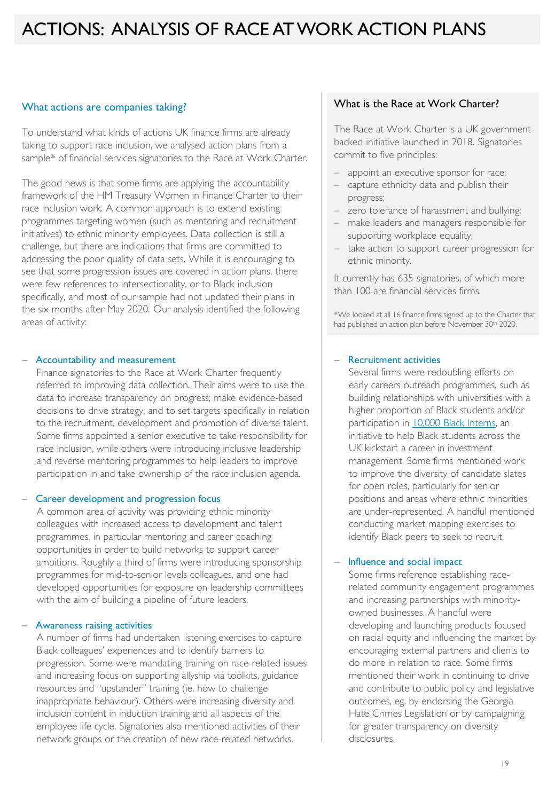### ACTIONS: ANALYSIS OF RACE AT WORK ACTION PLANS

#### What actions are companies taking?

To understand what kinds of actions UK finance firms are already taking to support race inclusion, we analysed action plans from a sample\* of financial services signatories to the Race at Work Charter.

The good news is that some firms are applying the accountability framework of the HM Treasury Women in Finance Charter to their race inclusion work. A common approach is to extend existing programmes targeting women (such as mentoring and recruitment initiatives) to ethnic minority employees. Data collection is still a challenge, but there are indications that firms are committed to addressing the poor quality of data sets. While it is encouraging to see that some progression issues are covered in action plans, there were few references to intersectionality, or to Black inclusion specifically, and most of our sample had not updated their plans in the six months after May 2020. Our analysis identified the following areas of activity:

#### − Accountability and measurement

Finance signatories to the Race at Work Charter frequently referred to improving data collection. Their aims were to use the data to increase transparency on progress; make evidence-based decisions to drive strategy; and to set targets specifically in relation to the recruitment, development and promotion of diverse talent. Some firms appointed a senior executive to take responsibility for race inclusion, while others were introducing inclusive leadership and reverse mentoring programmes to help leaders to improve participation in and take ownership of the race inclusion agenda.

#### − Career development and progression focus

A common area of activity was providing ethnic minority colleagues with increased access to development and talent programmes, in particular mentoring and career coaching opportunities in order to build networks to support career ambitions. Roughly a third of firms were introducing sponsorship programmes for mid-to-senior levels colleagues, and one had developed opportunities for exposure on leadership committees with the aim of building a pipeline of future leaders.

#### − Awareness raising activities

A number of firms had undertaken listening exercises to capture Black colleagues' experiences and to identify barriers to progression. Some were mandating training on race-related issues and increasing focus on supporting allyship via toolkits, guidance resources and "upstander" training (ie. how to challenge inappropriate behaviour). Others were increasing diversity and inclusion content in induction training and all aspects of the employee life cycle. Signatories also mentioned activities of their network groups or the creation of new race-related networks.

#### What is the Race at Work Charter?

The Race at Work Charter is a UK governmentbacked initiative launched in 2018. Signatories commit to five principles:

- appoint an executive sponsor for race;
- capture ethnicity data and publish their progress;
- zero tolerance of harassment and bullying;
- make leaders and managers responsible for supporting workplace equality;
- take action to support career progression for ethnic minority.

It currently has 635 signatories, of which more than 100 are financial services firms.

\*We looked at all 16 finance firms signed up to the Charter that had published an action plan before November 30<sup>th</sup> 2020.

#### − Recruitment activities

Several firms were redoubling efforts on early careers outreach programmes, such as building relationships with universities with a higher proportion of Black students and/or participation in [10,000 Black Interns](https://www.10000blackinterns.com/), an initiative to help Black students across the UK kickstart a career in investment management. Some firms mentioned work to improve the diversity of candidate slates for open roles, particularly for senior positions and areas where ethnic minorities are under-represented. A handful mentioned conducting market mapping exercises to identify Black peers to seek to recruit.

#### − Influence and social impact

Some firms reference establishing racerelated community engagement programmes and increasing partnerships with minorityowned businesses. A handful were developing and launching products focused on racial equity and influencing the market by encouraging external partners and clients to do more in relation to race. Some firms mentioned their work in continuing to drive and contribute to public policy and legislative outcomes, eg. by endorsing the Georgia Hate Crimes Legislation or by campaigning for greater transparency on diversity disclosures.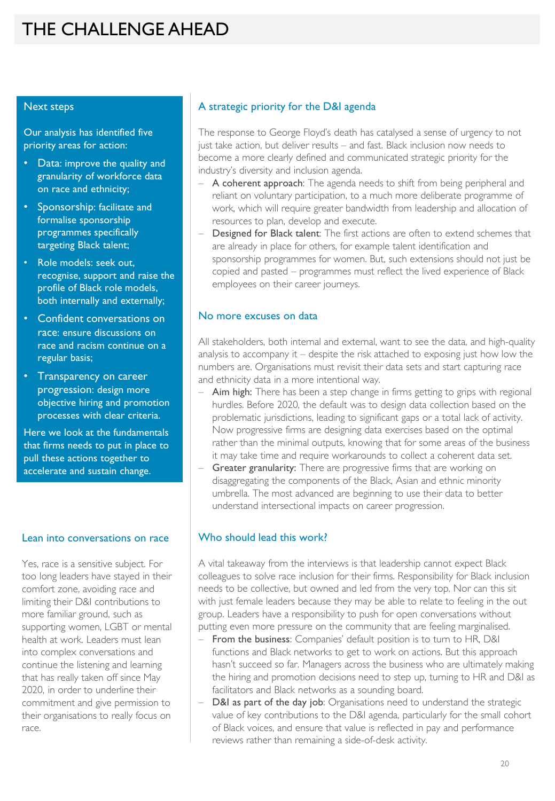### THE CHALLENGE AHEAD

#### Next steps

Our analysis has identified five priority areas for action:

- Data: improve the quality and granularity of workforce data on race and ethnicity;
- Sponsorship: facilitate and formalise sponsorship programmes specifically targeting Black talent;
- Role models: seek out, recognise, support and raise the profile of Black role models, both internally and externally;
- Confident conversations on race: ensure discussions on race and racism continue on a regular basis;
- Transparency on career progression: design more objective hiring and promotion processes with clear criteria.

Here we look at the fundamentals that firms needs to put in place to pull these actions together to accelerate and sustain change.

#### Lean into conversations on race

Yes, race is a sensitive subject. For too long leaders have stayed in their comfort zone, avoiding race and limiting their D&I contributions to more familiar ground, such as supporting women, LGBT or mental health at work. Leaders must lean into complex conversations and continue the listening and learning that has really taken off since May 2020, in order to underline their commitment and give permission to their organisations to really focus on race.

#### A strategic priority for the D&I agenda

The response to George Floyd's death has catalysed a sense of urgency to not just take action, but deliver results – and fast. Black inclusion now needs to become a more clearly defined and communicated strategic priority for the industry's diversity and inclusion agenda.

- A coherent approach: The agenda needs to shift from being peripheral and reliant on voluntary participation, to a much more deliberate programme of work, which will require greater bandwidth from leadership and allocation of resources to plan, develop and execute.
- Designed for Black talent: The first actions are often to extend schemes that are already in place for others, for example talent identification and sponsorship programmes for women. But, such extensions should not just be copied and pasted – programmes must reflect the lived experience of Black employees on their career journeys.

#### No more excuses on data

All stakeholders, both internal and external, want to see the data, and high-quality analysis to accompany it – despite the risk attached to exposing just how low the numbers are. Organisations must revisit their data sets and start capturing race and ethnicity data in a more intentional way.

- Aim high: There has been a step change in firms getting to grips with regional hurdles. Before 2020, the default was to design data collection based on the problematic jurisdictions, leading to significant gaps or a total lack of activity. Now progressive firms are designing data exercises based on the optimal rather than the minimal outputs, knowing that for some areas of the business it may take time and require workarounds to collect a coherent data set.
- Greater granularity: There are progressive firms that are working on disaggregating the components of the Black, Asian and ethnic minority umbrella. The most advanced are beginning to use their data to better understand intersectional impacts on career progression.

#### Who should lead this work?

A vital takeaway from the interviews is that leadership cannot expect Black colleagues to solve race inclusion for their firms. Responsibility for Black inclusion needs to be collective, but owned and led from the very top. Nor can this sit with just female leaders because they may be able to relate to feeling in the out group. Leaders have a responsibility to push for open conversations without putting even more pressure on the community that are feeling marginalised.

- From the business: Companies' default position is to turn to HR, D&I functions and Black networks to get to work on actions. But this approach hasn't succeed so far. Managers across the business who are ultimately making the hiring and promotion decisions need to step up, turning to HR and D&I as facilitators and Black networks as a sounding board.
- D&I as part of the day job: Organisations need to understand the strategic value of key contributions to the D&I agenda, particularly for the small cohort of Black voices, and ensure that value is reflected in pay and performance reviews rather than remaining a side-of-desk activity.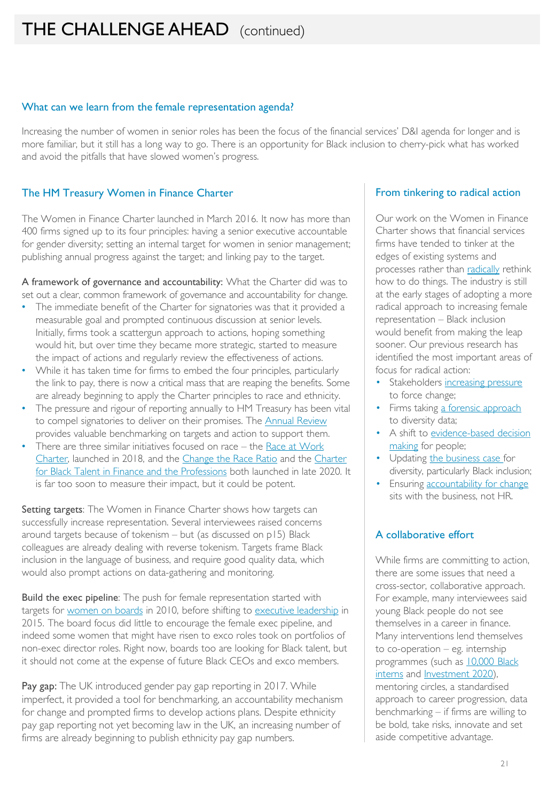#### What can we learn from the female representation agenda?

Increasing the number of women in senior roles has been the focus of the financial services' D&I agenda for longer and is more familiar, but it still has a long way to go. There is an opportunity for Black inclusion to cherry-pick what has worked and avoid the pitfalls that have slowed women's progress.

#### The HM Treasury Women in Finance Charter

The Women in Finance Charter launched in March 2016. It now has more than 400 firms signed up to its four principles: having a senior executive accountable for gender diversity; setting an internal target for women in senior management; publishing annual progress against the target; and linking pay to the target.

A framework of governance and accountability: What the Charter did was to set out a clear, common framework of governance and accountability for change.

- The immediate benefit of the Charter for signatories was that it provided a measurable goal and prompted continuous discussion at senior levels. Initially, firms took a scattergun approach to actions, hoping something would hit, but over time they became more strategic, started to measure the impact of actions and regularly review the effectiveness of actions.
- While it has taken time for firms to embed the four principles, particularly the link to pay, there is now a critical mass that are reaping the benefits. Some are already beginning to apply the Charter principles to race and ethnicity.
- The pressure and rigour of reporting annually to HM Treasury has been vital to compel signatories to deliver on their promises. The [Annual Review](https://www.gov.uk/government/collections/new-financial-analysis-women-in-finance) provides valuable benchmarking on targets and action to support them.
- There are three similar initiatives focused on race the Race at Work [Charter, launched in 2018, and the C](https://www.blacktalentcharter.com/)[hange the Race Ratio](https://www.cbi.org.uk/articles/it-s-time-to-change-the-race-ratio/) and the Charter for Black Talent in Finance and the Professions both launched in late 2020. It is far too soon to measure their impact, but it could be potent.

Setting targets: The Women in Finance Charter shows how targets can successfully increase representation. Several interviewees raised concerns around targets because of tokenism – but (as discussed on p15) Black colleagues are already dealing with reverse tokenism. Targets frame Black inclusion in the language of business, and require good quality data, which would also prompt actions on data-gathering and monitoring.

Build the exec pipeline: The push for female representation started with targets for [women on boards](https://assets.publishing.service.gov.uk/government/uploads/system/uploads/attachment_data/file/482059/BIS-15-585-women-on-boards-davies-review-5-year-summary-october-2015.pdf) in 2010, before shifting to [executive leadership](https://ftsewomenleaders.com/wp-content/uploads/2021/03/Hampton-Alexander-Review-Report-2020_web.pdf) in 2015. The board focus did little to encourage the female exec pipeline, and indeed some women that might have risen to exco roles took on portfolios of non-exec director roles. Right now, boards too are looking for Black talent, but it should not come at the expense of future Black CEOs and exco members.

Pay gap: The UK introduced gender pay gap reporting in 2017. While imperfect, it provided a tool for benchmarking, an accountability mechanism for change and prompted firms to develop actions plans. Despite ethnicity pay gap reporting not yet becoming law in the UK, an increasing number of firms are already beginning to publish ethnicity pay gap numbers.

#### From tinkering to radical action

Our work on the Women in Finance Charter shows that financial services firms have tended to tinker at the edges of existing systems and processes rather than [radically](https://newfinancial.org/wp-content/uploads/2020/12/2020-New-Financial-Radical-Actions.pdf) rethink how to do things. The industry is still at the early stages of adopting a more radical approach to increasing female representation – Black inclusion would benefit from making the leap sooner. Our previous research has identified the most important areas of focus for radical action:

- Stakeholders increasing pressure to force change;
- Firms taking [a forensic approach](https://newfinancial.org/wp-content/uploads/2020/01/A-forensic-approach-to-data.pdf) to diversity data;
- A shift to evidence-based decision making for people;
- Updating [the business case](https://newfinancial.org/wp-content/uploads/2020/03/Radical_actions_Updating_the_business.pdf) for diversity, particularly Black inclusion;
- Ensuring [accountability for change](https://newfinancial.org/wp-content/uploads/2019/11/Thought-paper-Radical_actions_Evolving-role-of-DI.pdf) sits with the business, not HR.

#### A collaborative effort

While firms are committing to action, there are some issues that need a cross-sector, collaborative approach. For example, many interviewees said young Black people do not see themselves in a career in finance. Many interventions lend themselves to co-operation – eg. internship [programmes \(such as 10,000 Black](https://www.10000blackinterns.com/)  interns and [Investment 2020\)](https://www.investment2020.org.uk/), mentoring circles, a standardised approach to career progression, data benchmarking – if firms are willing to be bold, take risks, innovate and set aside competitive advantage.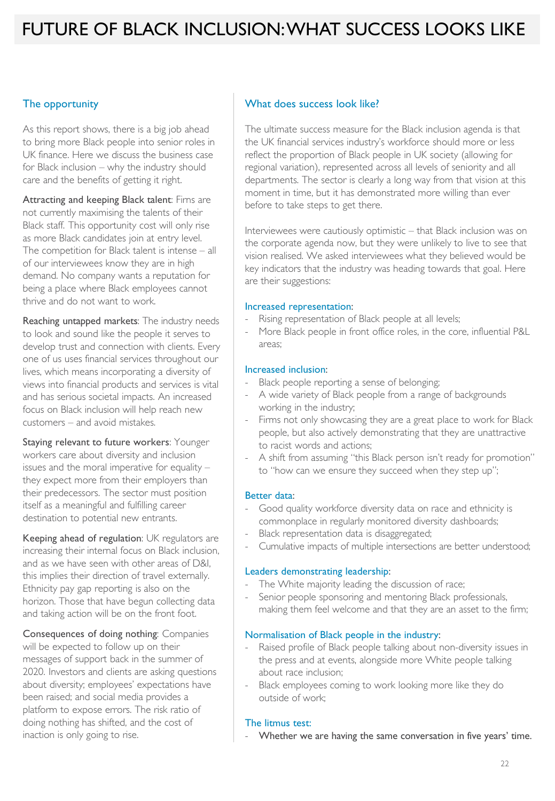### FUTURE OF BLACK INCLUSION: WHAT SUCCESS LOOKS LIKE

#### The opportunity

As this report shows, there is a big job ahead to bring more Black people into senior roles in UK finance. Here we discuss the business case for Black inclusion – why the industry should care and the benefits of getting it right.

Attracting and keeping Black talent: Firns are not currently maximising the talents of their Black staff. This opportunity cost will only rise as more Black candidates join at entry level. The competition for Black talent is intense – all of our interviewees know they are in high demand. No company wants a reputation for being a place where Black employees cannot thrive and do not want to work.

Reaching untapped markets: The industry needs to look and sound like the people it serves to develop trust and connection with clients. Every one of us uses financial services throughout our lives, which means incorporating a diversity of views into financial products and services is vital and has serious societal impacts. An increased focus on Black inclusion will help reach new customers – and avoid mistakes.

Staying relevant to future workers: Younger workers care about diversity and inclusion issues and the moral imperative for equality – they expect more from their employers than their predecessors. The sector must position itself as a meaningful and fulfilling career destination to potential new entrants.

Keeping ahead of regulation: UK regulators are increasing their internal focus on Black inclusion, and as we have seen with other areas of D&I, this implies their direction of travel externally. Ethnicity pay gap reporting is also on the horizon. Those that have begun collecting data and taking action will be on the front foot.

Consequences of doing nothing: Companies will be expected to follow up on their messages of support back in the summer of 2020. Investors and clients are asking questions about diversity; employees' expectations have been raised; and social media provides a platform to expose errors. The risk ratio of doing nothing has shifted, and the cost of inaction is only going to rise.

#### What does success look like?

The ultimate success measure for the Black inclusion agenda is that the UK financial services industry's workforce should more or less reflect the proportion of Black people in UK society (allowing for regional variation), represented across all levels of seniority and all departments. The sector is clearly a long way from that vision at this moment in time, but it has demonstrated more willing than ever before to take steps to get there.

Interviewees were cautiously optimistic – that Black inclusion was on the corporate agenda now, but they were unlikely to live to see that vision realised. We asked interviewees what they believed would be key indicators that the industry was heading towards that goal. Here are their suggestions:

#### Increased representation:

- ‐ Rising representation of Black people at all levels;
- More Black people in front office roles, in the core, influential P&L areas;

#### Increased inclusion:

- ‐ Black people reporting a sense of belonging;
- A wide variety of Black people from a range of backgrounds working in the industry;
- Firms not only showcasing they are a great place to work for Black people, but also actively demonstrating that they are unattractive to racist words and actions;
- ‐ A shift from assuming "this Black person isn't ready for promotion" to "how can we ensure they succeed when they step up";

#### Better data:

- Good quality workforce diversity data on race and ethnicity is commonplace in regularly monitored diversity dashboards;
- Black representation data is disaggregated;
- Cumulative impacts of multiple intersections are better understood;

#### Leaders demonstrating leadership:

- The White majority leading the discussion of race;
- Senior people sponsoring and mentoring Black professionals, making them feel welcome and that they are an asset to the firm;

#### Normalisation of Black people in the industry:

- Raised profile of Black people talking about non-diversity issues in the press and at events, alongside more White people talking about race inclusion;
- Black employees coming to work looking more like they do outside of work;

#### The litmus test:

‐ Whether we are having the same conversation in five years' time.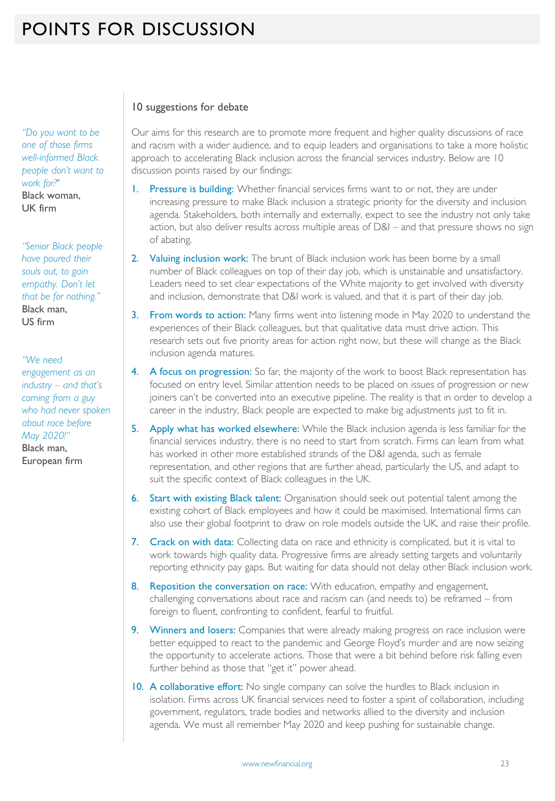*"Do you want to be one of those firms well-informed Black people don't want to work for?"* Black woman, UK firm

*"Senior Black people have poured their souls out, to gain empathy. Don't let that be for nothing."* Black man, US firm

*"We need engagement as an industry – and that's coming from a guy who had never spoken about race before May 2020!"* Black man, European firm

#### 10 suggestions for debate

Our aims for this research are to promote more frequent and higher quality discussions of race and racism with a wider audience, and to equip leaders and organisations to take a more holistic approach to accelerating Black inclusion across the financial services industry. Below are 10 discussion points raised by our findings:

- 1. Pressure is building: Whether financial services firms want to or not, they are under increasing pressure to make Black inclusion a strategic priority for the diversity and inclusion agenda. Stakeholders, both internally and externally, expect to see the industry not only take action, but also deliver results across multiple areas of D&I – and that pressure shows no sign of abating.
- 2. Valuing inclusion work: The brunt of Black inclusion work has been borne by a small number of Black colleagues on top of their day job, which is unstainable and unsatisfactory. Leaders need to set clear expectations of the White majority to get involved with diversity and inclusion, demonstrate that D&I work is valued, and that it is part of their day job.
- 3. From words to action: Many firms went into listening mode in May 2020 to understand the experiences of their Black colleagues, but that qualitative data must drive action. This research sets out five priority areas for action right now, but these will change as the Black inclusion agenda matures.
- 4. A focus on progression: So far, the majority of the work to boost Black representation has focused on entry level. Similar attention needs to be placed on issues of progression or new joiners can't be converted into an executive pipeline. The reality is that in order to develop a career in the industry, Black people are expected to make big adjustments just to fit in.
- 5. Apply what has worked elsewhere: While the Black inclusion agenda is less familiar for the financial services industry, there is no need to start from scratch. Firms can learn from what has worked in other more established strands of the D&I agenda, such as female representation, and other regions that are further ahead, particularly the US, and adapt to suit the specific context of Black colleagues in the UK.
- 6. Start with existing Black talent: Organisation should seek out potential talent among the existing cohort of Black employees and how it could be maximised. International firms can also use their global footprint to draw on role models outside the UK, and raise their profile.
- 7. Crack on with data: Collecting data on race and ethnicity is complicated, but it is vital to work towards high quality data. Progressive firms are already setting targets and voluntarily reporting ethnicity pay gaps. But waiting for data should not delay other Black inclusion work.
- 8. Reposition the conversation on race: With education, empathy and engagement, challenging conversations about race and racism can (and needs to) be reframed – from foreign to fluent, confronting to confident, fearful to fruitful.
- 9. Winners and losers: Companies that were already making progress on race inclusion were better equipped to react to the pandemic and George Floyd's murder and are now seizing the opportunity to accelerate actions. Those that were a bit behind before risk falling even further behind as those that "get it" power ahead.
- 10. A collaborative effort: No single company can solve the hurdles to Black inclusion in isolation. Firms across UK financial services need to foster a spirit of collaboration, including government, regulators, trade bodies and networks allied to the diversity and inclusion agenda. We must all remember May 2020 and keep pushing for sustainable change.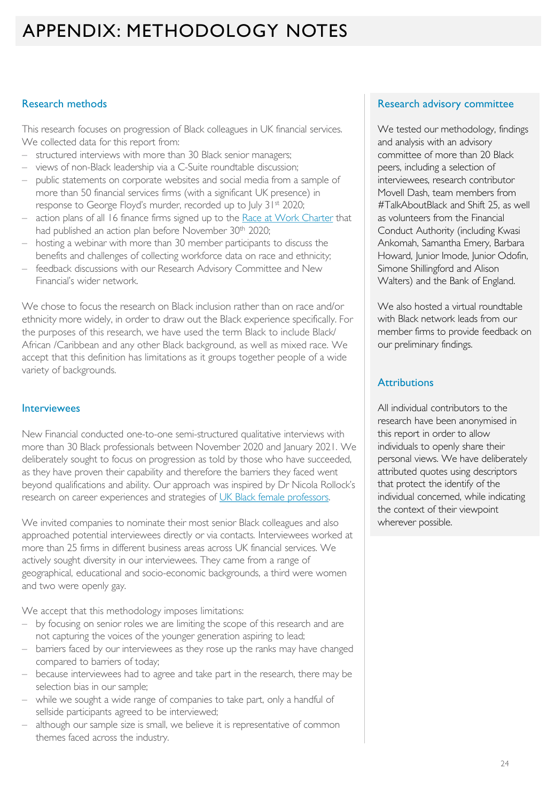### APPENDIX: METHODOLOGY NOTES

#### Research methods

This research focuses on progression of Black colleagues in UK financial services. We collected data for this report from:

- structured interviews with more than 30 Black senior managers;
- views of non-Black leadership via a C-Suite roundtable discussion;
- public statements on corporate websites and social media from a sample of more than 50 financial services firms (with a significant UK presence) in response to George Floyd's murder, recorded up to July 31st 2020;
- action plans of all 16 finance firms signed up to the [Race at Work Charter](https://www.bitc.org.uk/race/) that had published an action plan before November 30<sup>th</sup> 2020;
- hosting a webinar with more than 30 member participants to discuss the benefits and challenges of collecting workforce data on race and ethnicity;
- feedback discussions with our Research Advisory Committee and New Financial's wider network.

We chose to focus the research on Black inclusion rather than on race and/or ethnicity more widely, in order to draw out the Black experience specifically. For the purposes of this research, we have used the term Black to include Black/ African /Caribbean and any other Black background, as well as mixed race. We accept that this definition has limitations as it groups together people of a wide variety of backgrounds.

#### **Interviewees**

New Financial conducted one-to-one semi-structured qualitative interviews with more than 30 Black professionals between November 2020 and January 2021. We deliberately sought to focus on progression as told by those who have succeeded, as they have proven their capability and therefore the barriers they faced went beyond qualifications and ability. Our approach was inspired by Dr Nicola Rollock's research on career experiences and strategies of [UK Black female professors.](https://www.ucu.org.uk/media/10075/Staying-Power/pdf/UCU_Rollock_February_2019.pdf)

We invited companies to nominate their most senior Black colleagues and also approached potential interviewees directly or via contacts. Interviewees worked at more than 25 firms in different business areas across UK financial services. We actively sought diversity in our interviewees. They came from a range of geographical, educational and socio-economic backgrounds, a third were women and two were openly gay.

We accept that this methodology imposes limitations:

- by focusing on senior roles we are limiting the scope of this research and are not capturing the voices of the younger generation aspiring to lead;
- barriers faced by our interviewees as they rose up the ranks may have changed compared to barriers of today;
- because interviewees had to agree and take part in the research, there may be selection bias in our sample;
- while we sought a wide range of companies to take part, only a handful of sellside participants agreed to be interviewed;
- although our sample size is small, we believe it is representative of common themes faced across the industry.

#### Research advisory committee

We tested our methodology, findings and analysis with an advisory committee of more than 20 Black peers, including a selection of interviewees, research contributor Movell Dash, team members from #TalkAboutBlack and Shift 25, as well as volunteers from the Financial Conduct Authority (including Kwasi Ankomah, Samantha Emery, Barbara Howard, Junior Imode, Junior Odofin, Simone Shillingford and Alison Walters) and the Bank of England.

We also hosted a virtual roundtable with Black network leads from our member firms to provide feedback on our preliminary findings.

#### **Attributions**

All individual contributors to the research have been anonymised in this report in order to allow individuals to openly share their personal views. We have deliberately attributed quotes using descriptors that protect the identify of the individual concerned, while indicating the context of their viewpoint wherever possible.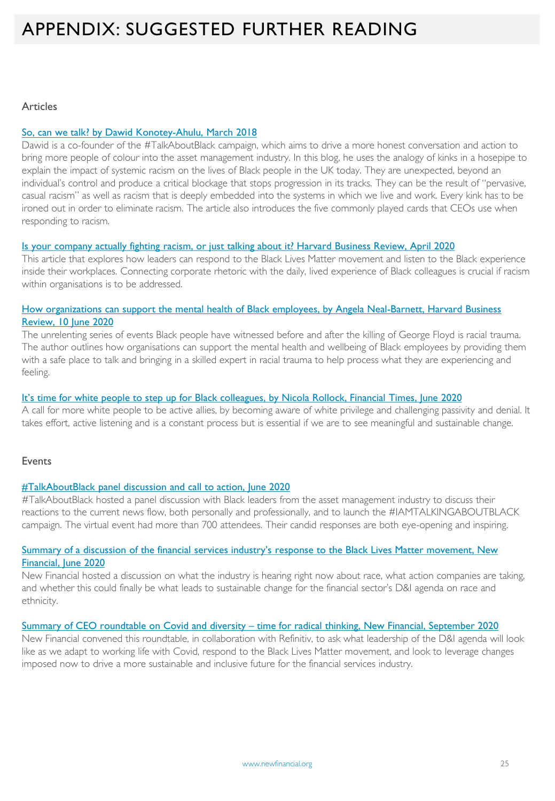### APPENDIX: SUGGESTED FURTHER READING

#### Articles

#### So, can we talk? by Dawid [Konotey-Ahulu, March 2018](https://www.linkedin.com/pulse/so-can-we-talk-talkaboutblack-dawid-konotey-ahulu/?trackingId=)

Dawid is a co-founder of the #TalkAboutBlack campaign, which aims to drive a more honest conversation and action to bring more people of colour into the asset management industry. In this blog, he uses the analogy of kinks in a hosepipe to explain the impact of systemic racism on the lives of Black people in the UK today. They are unexpected, beyond an individual's control and produce a critical blockage that stops progression in its tracks. They can be the result of "pervasive, casual racism" as well as racism that is deeply embedded into the systems in which we live and work. Every kink has to be ironed out in order to eliminate racism. The article also introduces the five commonly played cards that CEOs use when responding to racism.

#### [Is your company actually fighting racism, or just talking about it? Harvard Business Review, April 2020](https://hbr.org/2020/06/is-your-company-actually-fighting-racism-or-just-talking-about-it?utm_medium=email&utm_source=newsletter_weekly&utm_campaign=insider_activesubs&deliveryName=DM84041)

This article that explores how leaders can respond to the Black Lives Matter movement and listen to the Black experience inside their workplaces. Connecting corporate rhetoric with the daily, lived experience of Black colleagues is crucial if racism within organisations is to be addressed.

#### [How organizations can support the mental health of Black employees, by Angela Neal-Barnett, Harvard Business](https://hbr.org/2020/06/how-organizations-can-support-the-mental-health-of-black-employees?utm_medium=email&utm_source=newsletter_daily&utm_campaign=dailyalert_activesubs&deliveryName=DM83773) Review, 10 June 2020

The unrelenting series of events Black people have witnessed before and after the killing of George Floyd is racial trauma. The author outlines how organisations can support the mental health and wellbeing of Black employees by providing them with a safe place to talk and bringing in a skilled expert in racial trauma to help process what they are experiencing and feeling.

#### [It's time for white people to step up for Black colleagues, by Nicola Rollock, Financial Times, June 2020](https://www.ft.com/content/beadaf00-a4f8-11ea-a27c-b8aa85e36b7e)

A call for more white people to be active allies, by becoming aware of white privilege and challenging passivity and denial. It takes effort, active listening and is a constant process but is essential if we are to see meaningful and sustainable change.

#### Events

#### [#TalkAboutBlack panel discussion and call to action, June 2020](https://www.youtube.com/watch?v=8PeEETg4Axk&t=1s)

#TalkAboutBlack hosted a panel discussion with Black leaders from the asset management industry to discuss their reactions to the current news flow, both personally and professionally, and to launch the #IAMTALKINGABOUTBLACK campaign. The virtual event had more than 700 attendees. Their candid responses are both eye-opening and inspiring.

#### Summary of a discussion of the financial services industry's response to the Black Lives Matter movement, New Financial, Iune 2020

New Financial hosted a discussion on what the industry is hearing right now about race, what action companies are taking, and whether this could finally be what leads to sustainable change for the financial sector's D&I agenda on race and ethnicity.

#### Summary of CEO roundtable on Covid and diversity – [time for radical thinking, New Financial, September 2020](https://newfinancial.org/wp-content/uploads/2020/07/Discussion_summary_Covid-DI-CEO-roundtable.pdf)

New Financial convened this roundtable, in collaboration with Refinitiv, to ask what leadership of the D&I agenda will look like as we adapt to working life with Covid, respond to the Black Lives Matter movement, and look to leverage changes imposed now to drive a more sustainable and inclusive future for the financial services industry.